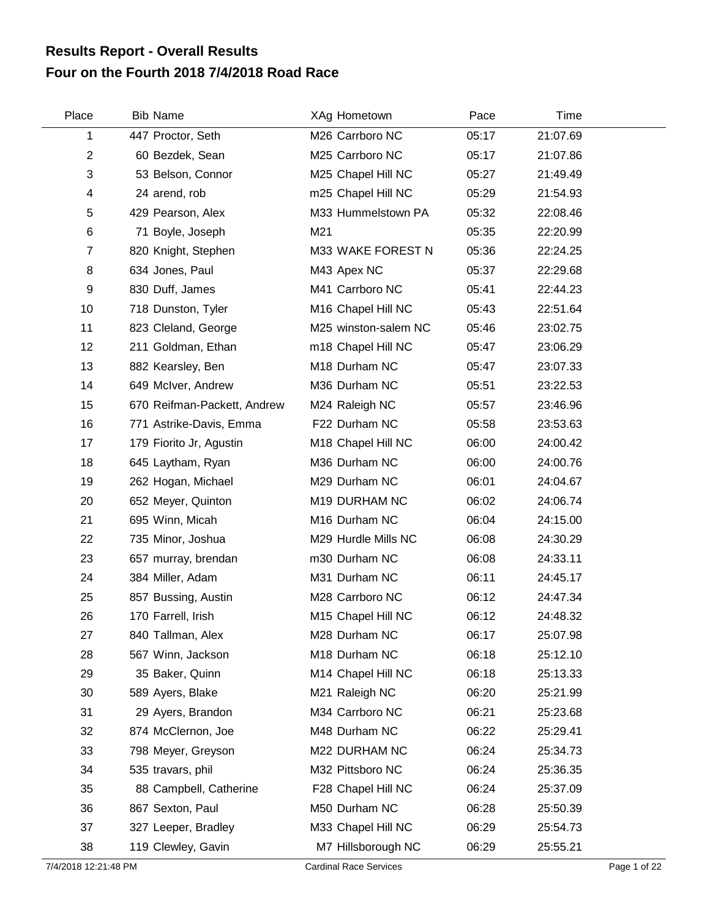## **Four on the Fourth 2018 7/4/2018 Road Race Results Report - Overall Results**

| Place                     | <b>Bib Name</b>             | XAg Hometown         | Pace  | Time     |  |
|---------------------------|-----------------------------|----------------------|-------|----------|--|
| 1                         | 447 Proctor, Seth           | M26 Carrboro NC      | 05:17 | 21:07.69 |  |
| $\overline{2}$            | 60 Bezdek, Sean             | M25 Carrboro NC      | 05:17 | 21:07.86 |  |
| $\ensuremath{\mathsf{3}}$ | 53 Belson, Connor           | M25 Chapel Hill NC   | 05:27 | 21:49.49 |  |
| 4                         | 24 arend, rob               | m25 Chapel Hill NC   | 05:29 | 21:54.93 |  |
| $\mathbf 5$               | 429 Pearson, Alex           | M33 Hummelstown PA   | 05:32 | 22:08.46 |  |
| $\,6$                     | 71 Boyle, Joseph            | M21                  | 05:35 | 22:20.99 |  |
| $\overline{7}$            | 820 Knight, Stephen         | M33 WAKE FOREST N    | 05:36 | 22:24.25 |  |
| 8                         | 634 Jones, Paul             | M43 Apex NC          | 05:37 | 22:29.68 |  |
| 9                         | 830 Duff, James             | M41 Carrboro NC      | 05:41 | 22:44.23 |  |
| 10                        | 718 Dunston, Tyler          | M16 Chapel Hill NC   | 05:43 | 22:51.64 |  |
| 11                        | 823 Cleland, George         | M25 winston-salem NC | 05:46 | 23:02.75 |  |
| 12                        | 211 Goldman, Ethan          | m18 Chapel Hill NC   | 05:47 | 23:06.29 |  |
| 13                        | 882 Kearsley, Ben           | M18 Durham NC        | 05:47 | 23:07.33 |  |
| 14                        | 649 McIver, Andrew          | M36 Durham NC        | 05:51 | 23:22.53 |  |
| 15                        | 670 Reifman-Packett, Andrew | M24 Raleigh NC       | 05:57 | 23:46.96 |  |
| 16                        | 771 Astrike-Davis, Emma     | F22 Durham NC        | 05:58 | 23:53.63 |  |
| 17                        | 179 Fiorito Jr, Agustin     | M18 Chapel Hill NC   | 06:00 | 24:00.42 |  |
| 18                        | 645 Laytham, Ryan           | M36 Durham NC        | 06:00 | 24:00.76 |  |
| 19                        | 262 Hogan, Michael          | M29 Durham NC        | 06:01 | 24:04.67 |  |
| 20                        | 652 Meyer, Quinton          | M19 DURHAM NC        | 06:02 | 24:06.74 |  |
| 21                        | 695 Winn, Micah             | M16 Durham NC        | 06:04 | 24:15.00 |  |
| 22                        | 735 Minor, Joshua           | M29 Hurdle Mills NC  | 06:08 | 24:30.29 |  |
| 23                        | 657 murray, brendan         | m30 Durham NC        | 06:08 | 24:33.11 |  |
| 24                        | 384 Miller, Adam            | M31 Durham NC        | 06:11 | 24:45.17 |  |
| 25                        | 857 Bussing, Austin         | M28 Carrboro NC      | 06:12 | 24:47.34 |  |
| 26                        | 170 Farrell, Irish          | M15 Chapel Hill NC   | 06:12 | 24:48.32 |  |
| 27                        | 840 Tallman, Alex           | M28 Durham NC        | 06:17 | 25:07.98 |  |
| 28                        | 567 Winn, Jackson           | M18 Durham NC        | 06:18 | 25:12.10 |  |
| 29                        | 35 Baker, Quinn             | M14 Chapel Hill NC   | 06:18 | 25:13.33 |  |
| 30                        | 589 Ayers, Blake            | M21 Raleigh NC       | 06:20 | 25:21.99 |  |
| 31                        | 29 Ayers, Brandon           | M34 Carrboro NC      | 06:21 | 25:23.68 |  |
| 32                        | 874 McClernon, Joe          | M48 Durham NC        | 06:22 | 25:29.41 |  |
| 33                        | 798 Meyer, Greyson          | M22 DURHAM NC        | 06:24 | 25:34.73 |  |
| 34                        | 535 travars, phil           | M32 Pittsboro NC     | 06:24 | 25:36.35 |  |
| 35                        | 88 Campbell, Catherine      | F28 Chapel Hill NC   | 06:24 | 25:37.09 |  |
| 36                        | 867 Sexton, Paul            | M50 Durham NC        | 06:28 | 25:50.39 |  |
| 37                        | 327 Leeper, Bradley         | M33 Chapel Hill NC   | 06:29 | 25:54.73 |  |
| 38                        | 119 Clewley, Gavin          | M7 Hillsborough NC   | 06:29 | 25:55.21 |  |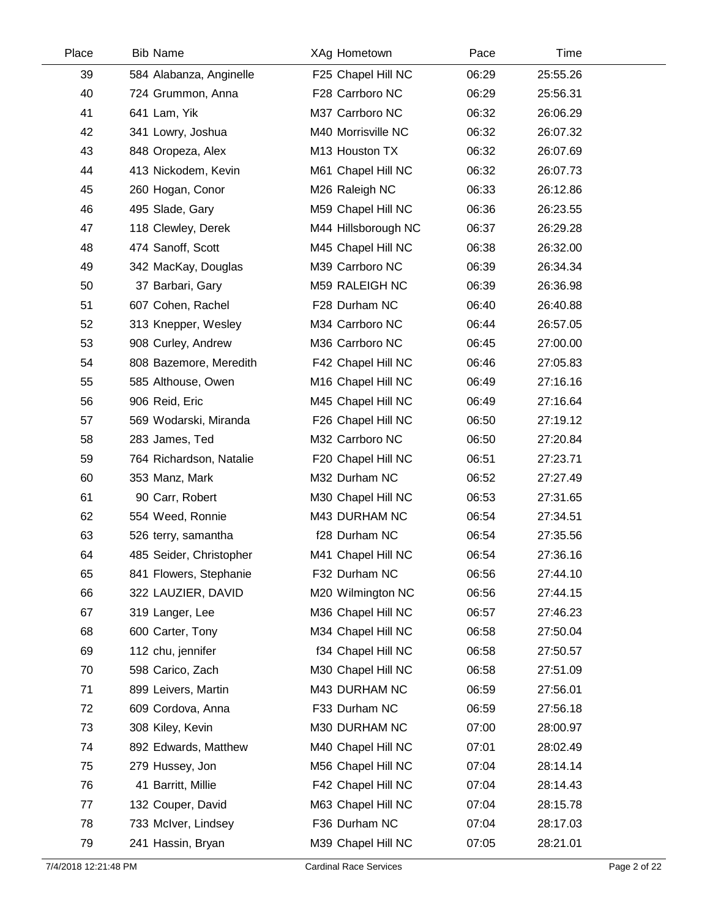| Place | <b>Bib Name</b>         | XAg Hometown        | Pace  | Time     |  |
|-------|-------------------------|---------------------|-------|----------|--|
| 39    | 584 Alabanza, Anginelle | F25 Chapel Hill NC  | 06:29 | 25:55.26 |  |
| 40    | 724 Grummon, Anna       | F28 Carrboro NC     | 06:29 | 25:56.31 |  |
| 41    | 641 Lam, Yik            | M37 Carrboro NC     | 06:32 | 26:06.29 |  |
| 42    | 341 Lowry, Joshua       | M40 Morrisville NC  | 06:32 | 26:07.32 |  |
| 43    | 848 Oropeza, Alex       | M13 Houston TX      | 06:32 | 26:07.69 |  |
| 44    | 413 Nickodem, Kevin     | M61 Chapel Hill NC  | 06:32 | 26:07.73 |  |
| 45    | 260 Hogan, Conor        | M26 Raleigh NC      | 06:33 | 26:12.86 |  |
| 46    | 495 Slade, Gary         | M59 Chapel Hill NC  | 06:36 | 26:23.55 |  |
| 47    | 118 Clewley, Derek      | M44 Hillsborough NC | 06:37 | 26:29.28 |  |
| 48    | 474 Sanoff, Scott       | M45 Chapel Hill NC  | 06:38 | 26:32.00 |  |
| 49    | 342 MacKay, Douglas     | M39 Carrboro NC     | 06:39 | 26:34.34 |  |
| 50    | 37 Barbari, Gary        | M59 RALEIGH NC      | 06:39 | 26:36.98 |  |
| 51    | 607 Cohen, Rachel       | F28 Durham NC       | 06:40 | 26:40.88 |  |
| 52    | 313 Knepper, Wesley     | M34 Carrboro NC     | 06:44 | 26:57.05 |  |
| 53    | 908 Curley, Andrew      | M36 Carrboro NC     | 06:45 | 27:00.00 |  |
| 54    | 808 Bazemore, Meredith  | F42 Chapel Hill NC  | 06:46 | 27:05.83 |  |
| 55    | 585 Althouse, Owen      | M16 Chapel Hill NC  | 06:49 | 27:16.16 |  |
| 56    | 906 Reid, Eric          | M45 Chapel Hill NC  | 06:49 | 27:16.64 |  |
| 57    | 569 Wodarski, Miranda   | F26 Chapel Hill NC  | 06:50 | 27:19.12 |  |
| 58    | 283 James, Ted          | M32 Carrboro NC     | 06:50 | 27:20.84 |  |
| 59    | 764 Richardson, Natalie | F20 Chapel Hill NC  | 06:51 | 27:23.71 |  |
| 60    | 353 Manz, Mark          | M32 Durham NC       | 06:52 | 27:27.49 |  |
| 61    | 90 Carr, Robert         | M30 Chapel Hill NC  | 06:53 | 27:31.65 |  |
| 62    | 554 Weed, Ronnie        | M43 DURHAM NC       | 06:54 | 27:34.51 |  |
| 63    | 526 terry, samantha     | f28 Durham NC       | 06:54 | 27:35.56 |  |
| 64    | 485 Seider, Christopher | M41 Chapel Hill NC  | 06:54 | 27:36.16 |  |
| 65    | 841 Flowers, Stephanie  | F32 Durham NC       | 06:56 | 27:44.10 |  |
| 66    | 322 LAUZIER, DAVID      | M20 Wilmington NC   | 06:56 | 27:44.15 |  |
| 67    | 319 Langer, Lee         | M36 Chapel Hill NC  | 06:57 | 27:46.23 |  |
| 68    | 600 Carter, Tony        | M34 Chapel Hill NC  | 06:58 | 27:50.04 |  |
| 69    | 112 chu, jennifer       | f34 Chapel Hill NC  | 06:58 | 27:50.57 |  |
| 70    | 598 Carico, Zach        | M30 Chapel Hill NC  | 06:58 | 27:51.09 |  |
| 71    | 899 Leivers, Martin     | M43 DURHAM NC       | 06:59 | 27:56.01 |  |
| 72    | 609 Cordova, Anna       | F33 Durham NC       | 06:59 | 27:56.18 |  |
| 73    | 308 Kiley, Kevin        | M30 DURHAM NC       | 07:00 | 28:00.97 |  |
| 74    | 892 Edwards, Matthew    | M40 Chapel Hill NC  | 07:01 | 28:02.49 |  |
| 75    | 279 Hussey, Jon         | M56 Chapel Hill NC  | 07:04 | 28:14.14 |  |
| 76    | 41 Barritt, Millie      | F42 Chapel Hill NC  | 07:04 | 28:14.43 |  |
| 77    | 132 Couper, David       | M63 Chapel Hill NC  | 07:04 | 28:15.78 |  |
| 78    | 733 McIver, Lindsey     | F36 Durham NC       | 07:04 | 28:17.03 |  |
| 79    | 241 Hassin, Bryan       | M39 Chapel Hill NC  | 07:05 | 28:21.01 |  |
|       |                         |                     |       |          |  |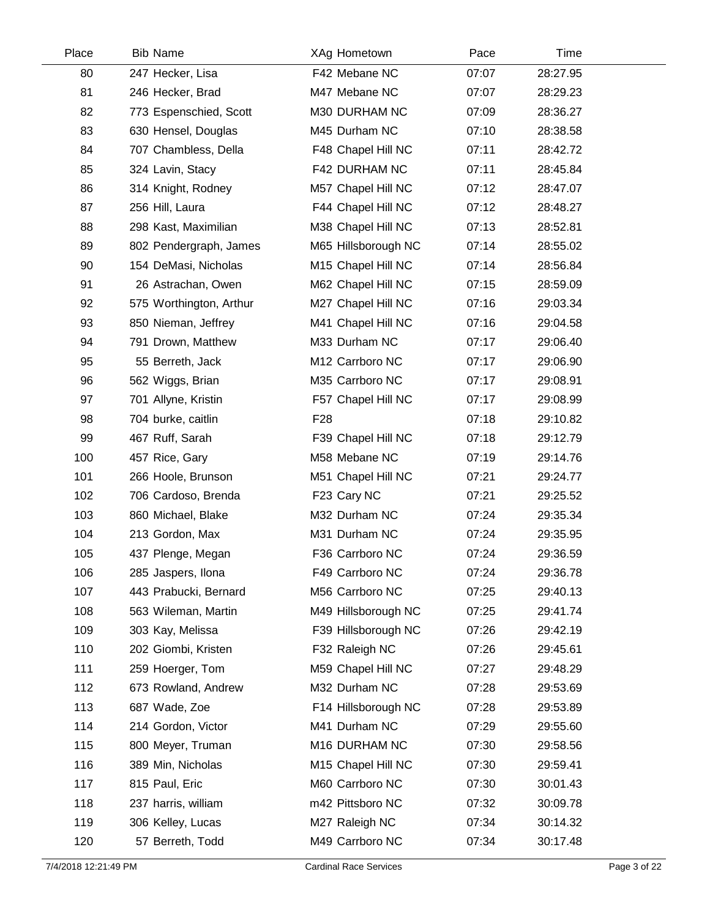| Place | <b>Bib Name</b>         | XAg Hometown        | Pace  | Time     |  |
|-------|-------------------------|---------------------|-------|----------|--|
| 80    | 247 Hecker, Lisa        | F42 Mebane NC       | 07:07 | 28:27.95 |  |
| 81    | 246 Hecker, Brad        | M47 Mebane NC       | 07:07 | 28:29.23 |  |
| 82    | 773 Espenschied, Scott  | M30 DURHAM NC       | 07:09 | 28:36.27 |  |
| 83    | 630 Hensel, Douglas     | M45 Durham NC       | 07:10 | 28:38.58 |  |
| 84    | 707 Chambless, Della    | F48 Chapel Hill NC  | 07:11 | 28:42.72 |  |
| 85    | 324 Lavin, Stacy        | F42 DURHAM NC       | 07:11 | 28:45.84 |  |
| 86    | 314 Knight, Rodney      | M57 Chapel Hill NC  | 07:12 | 28:47.07 |  |
| 87    | 256 Hill, Laura         | F44 Chapel Hill NC  | 07:12 | 28:48.27 |  |
| 88    | 298 Kast, Maximilian    | M38 Chapel Hill NC  | 07:13 | 28:52.81 |  |
| 89    | 802 Pendergraph, James  | M65 Hillsborough NC | 07:14 | 28:55.02 |  |
| 90    | 154 DeMasi, Nicholas    | M15 Chapel Hill NC  | 07:14 | 28:56.84 |  |
| 91    | 26 Astrachan, Owen      | M62 Chapel Hill NC  | 07:15 | 28:59.09 |  |
| 92    | 575 Worthington, Arthur | M27 Chapel Hill NC  | 07:16 | 29:03.34 |  |
| 93    | 850 Nieman, Jeffrey     | M41 Chapel Hill NC  | 07:16 | 29:04.58 |  |
| 94    | 791 Drown, Matthew      | M33 Durham NC       | 07:17 | 29:06.40 |  |
| 95    | 55 Berreth, Jack        | M12 Carrboro NC     | 07:17 | 29:06.90 |  |
| 96    | 562 Wiggs, Brian        | M35 Carrboro NC     | 07:17 | 29:08.91 |  |
| 97    | 701 Allyne, Kristin     | F57 Chapel Hill NC  | 07:17 | 29:08.99 |  |
| 98    | 704 burke, caitlin      | F <sub>28</sub>     | 07:18 | 29:10.82 |  |
| 99    | 467 Ruff, Sarah         | F39 Chapel Hill NC  | 07:18 | 29:12.79 |  |
| 100   | 457 Rice, Gary          | M58 Mebane NC       | 07:19 | 29:14.76 |  |
| 101   | 266 Hoole, Brunson      | M51 Chapel Hill NC  | 07:21 | 29:24.77 |  |
| 102   | 706 Cardoso, Brenda     | F23 Cary NC         | 07:21 | 29:25.52 |  |
| 103   | 860 Michael, Blake      | M32 Durham NC       | 07:24 | 29:35.34 |  |
| 104   | 213 Gordon, Max         | M31 Durham NC       | 07:24 | 29:35.95 |  |
| 105   | 437 Plenge, Megan       | F36 Carrboro NC     | 07:24 | 29:36.59 |  |
| 106   | 285 Jaspers, Ilona      | F49 Carrboro NC     | 07:24 | 29:36.78 |  |
| 107   | 443 Prabucki, Bernard   | M56 Carrboro NC     | 07:25 | 29:40.13 |  |
| 108   | 563 Wileman, Martin     | M49 Hillsborough NC | 07:25 | 29:41.74 |  |
| 109   | 303 Kay, Melissa        | F39 Hillsborough NC | 07:26 | 29:42.19 |  |
| 110   | 202 Giombi, Kristen     | F32 Raleigh NC      | 07:26 | 29:45.61 |  |
| 111   | 259 Hoerger, Tom        | M59 Chapel Hill NC  | 07:27 | 29:48.29 |  |
| 112   | 673 Rowland, Andrew     | M32 Durham NC       | 07:28 | 29:53.69 |  |
| 113   | 687 Wade, Zoe           | F14 Hillsborough NC | 07:28 | 29:53.89 |  |
| 114   | 214 Gordon, Victor      | M41 Durham NC       | 07:29 | 29:55.60 |  |
| 115   | 800 Meyer, Truman       | M16 DURHAM NC       | 07:30 | 29:58.56 |  |
| 116   | 389 Min, Nicholas       | M15 Chapel Hill NC  | 07:30 | 29:59.41 |  |
| 117   | 815 Paul, Eric          | M60 Carrboro NC     | 07:30 | 30:01.43 |  |
| 118   | 237 harris, william     | m42 Pittsboro NC    | 07:32 | 30:09.78 |  |
| 119   | 306 Kelley, Lucas       | M27 Raleigh NC      | 07:34 | 30:14.32 |  |
| 120   | 57 Berreth, Todd        | M49 Carrboro NC     | 07:34 | 30:17.48 |  |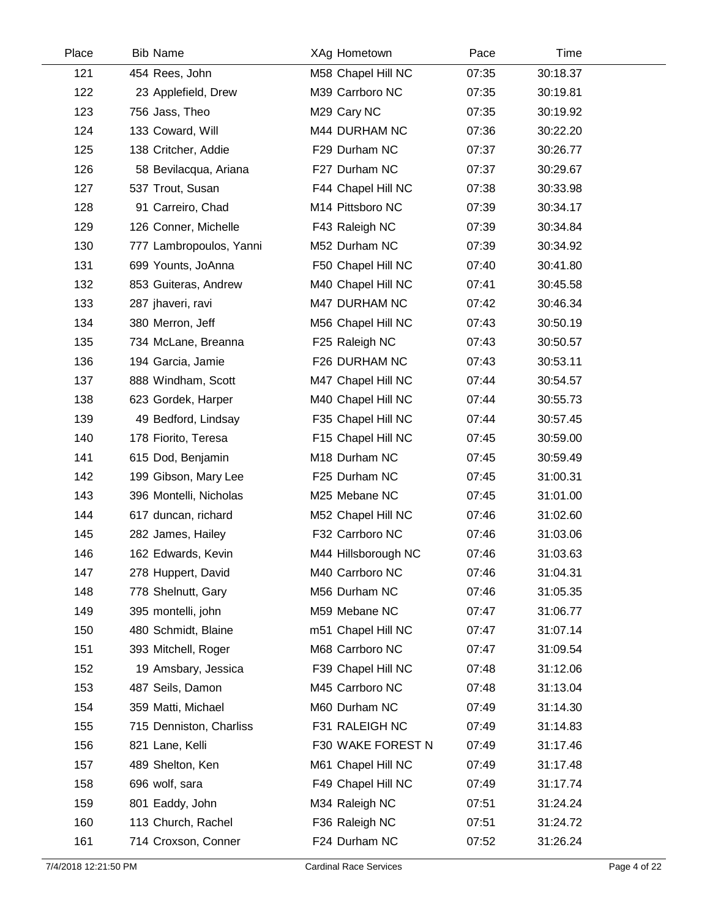| Place | <b>Bib Name</b>         | XAg Hometown        | Pace  | Time     |  |
|-------|-------------------------|---------------------|-------|----------|--|
| 121   | 454 Rees, John          | M58 Chapel Hill NC  | 07:35 | 30:18.37 |  |
| 122   | 23 Applefield, Drew     | M39 Carrboro NC     | 07:35 | 30:19.81 |  |
| 123   | 756 Jass, Theo          | M29 Cary NC         | 07:35 | 30:19.92 |  |
| 124   | 133 Coward, Will        | M44 DURHAM NC       | 07:36 | 30:22.20 |  |
| 125   | 138 Critcher, Addie     | F29 Durham NC       | 07:37 | 30:26.77 |  |
| 126   | 58 Bevilacqua, Ariana   | F27 Durham NC       | 07:37 | 30:29.67 |  |
| 127   | 537 Trout, Susan        | F44 Chapel Hill NC  | 07:38 | 30:33.98 |  |
| 128   | 91 Carreiro, Chad       | M14 Pittsboro NC    | 07:39 | 30:34.17 |  |
| 129   | 126 Conner, Michelle    | F43 Raleigh NC      | 07:39 | 30:34.84 |  |
| 130   | 777 Lambropoulos, Yanni | M52 Durham NC       | 07:39 | 30:34.92 |  |
| 131   | 699 Younts, JoAnna      | F50 Chapel Hill NC  | 07:40 | 30:41.80 |  |
| 132   | 853 Guiteras, Andrew    | M40 Chapel Hill NC  | 07:41 | 30:45.58 |  |
| 133   | 287 jhaveri, ravi       | M47 DURHAM NC       | 07:42 | 30:46.34 |  |
| 134   | 380 Merron, Jeff        | M56 Chapel Hill NC  | 07:43 | 30:50.19 |  |
| 135   | 734 McLane, Breanna     | F25 Raleigh NC      | 07:43 | 30:50.57 |  |
| 136   | 194 Garcia, Jamie       | F26 DURHAM NC       | 07:43 | 30:53.11 |  |
| 137   | 888 Windham, Scott      | M47 Chapel Hill NC  | 07:44 | 30:54.57 |  |
| 138   | 623 Gordek, Harper      | M40 Chapel Hill NC  | 07:44 | 30:55.73 |  |
| 139   | 49 Bedford, Lindsay     | F35 Chapel Hill NC  | 07:44 | 30:57.45 |  |
| 140   | 178 Fiorito, Teresa     | F15 Chapel Hill NC  | 07:45 | 30:59.00 |  |
| 141   | 615 Dod, Benjamin       | M18 Durham NC       | 07:45 | 30:59.49 |  |
| 142   | 199 Gibson, Mary Lee    | F25 Durham NC       | 07:45 | 31:00.31 |  |
| 143   | 396 Montelli, Nicholas  | M25 Mebane NC       | 07:45 | 31:01.00 |  |
| 144   | 617 duncan, richard     | M52 Chapel Hill NC  | 07:46 | 31:02.60 |  |
| 145   | 282 James, Hailey       | F32 Carrboro NC     | 07:46 | 31:03.06 |  |
| 146   | 162 Edwards, Kevin      | M44 Hillsborough NC | 07:46 | 31:03.63 |  |
| 147   | 278 Huppert, David      | M40 Carrboro NC     | 07:46 | 31:04.31 |  |
| 148   | 778 Shelnutt, Gary      | M56 Durham NC       | 07:46 | 31:05.35 |  |
| 149   | 395 montelli, john      | M59 Mebane NC       | 07:47 | 31:06.77 |  |
| 150   | 480 Schmidt, Blaine     | m51 Chapel Hill NC  | 07:47 | 31:07.14 |  |
| 151   | 393 Mitchell, Roger     | M68 Carrboro NC     | 07:47 | 31:09.54 |  |
| 152   | 19 Amsbary, Jessica     | F39 Chapel Hill NC  | 07:48 | 31:12.06 |  |
| 153   | 487 Seils, Damon        | M45 Carrboro NC     | 07:48 | 31:13.04 |  |
| 154   | 359 Matti, Michael      | M60 Durham NC       | 07:49 | 31:14.30 |  |
| 155   | 715 Denniston, Charliss | F31 RALEIGH NC      | 07:49 | 31:14.83 |  |
| 156   | 821 Lane, Kelli         | F30 WAKE FOREST N   | 07:49 | 31:17.46 |  |
| 157   | 489 Shelton, Ken        | M61 Chapel Hill NC  | 07:49 | 31:17.48 |  |
| 158   | 696 wolf, sara          | F49 Chapel Hill NC  | 07:49 | 31:17.74 |  |
| 159   | 801 Eaddy, John         | M34 Raleigh NC      | 07:51 | 31:24.24 |  |
| 160   | 113 Church, Rachel      | F36 Raleigh NC      | 07:51 | 31:24.72 |  |
| 161   | 714 Croxson, Conner     | F24 Durham NC       | 07:52 | 31:26.24 |  |
|       |                         |                     |       |          |  |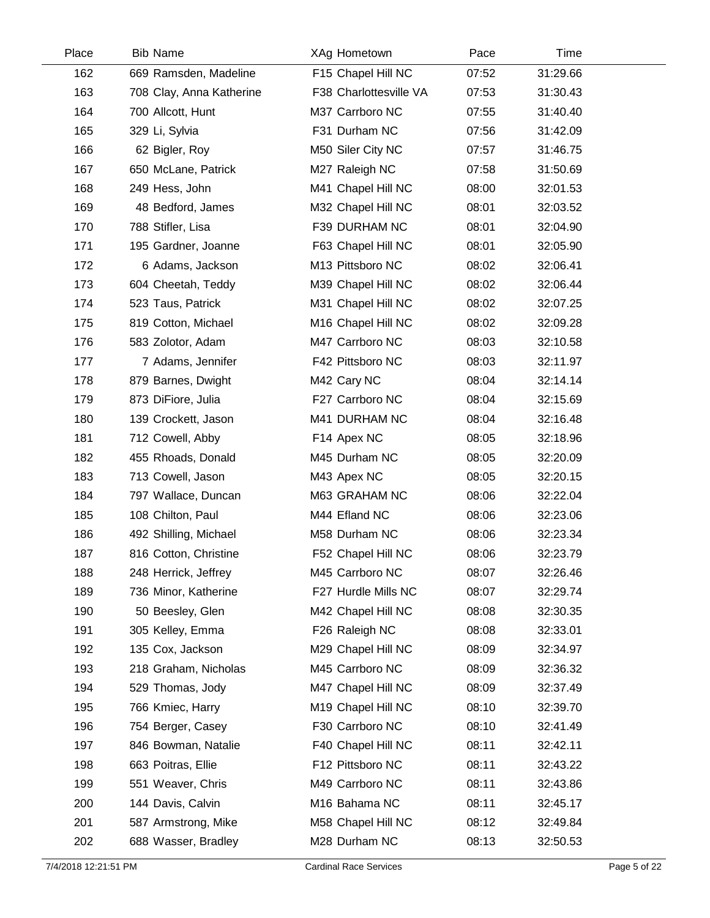| Place | <b>Bib Name</b>          | XAg Hometown           | Pace  | Time     |  |
|-------|--------------------------|------------------------|-------|----------|--|
| 162   | 669 Ramsden, Madeline    | F15 Chapel Hill NC     | 07:52 | 31:29.66 |  |
| 163   | 708 Clay, Anna Katherine | F38 Charlottesville VA | 07:53 | 31:30.43 |  |
| 164   | 700 Allcott, Hunt        | M37 Carrboro NC        | 07:55 | 31:40.40 |  |
| 165   | 329 Li, Sylvia           | F31 Durham NC          | 07:56 | 31:42.09 |  |
| 166   | 62 Bigler, Roy           | M50 Siler City NC      | 07:57 | 31:46.75 |  |
| 167   | 650 McLane, Patrick      | M27 Raleigh NC         | 07:58 | 31:50.69 |  |
| 168   | 249 Hess, John           | M41 Chapel Hill NC     | 08:00 | 32:01.53 |  |
| 169   | 48 Bedford, James        | M32 Chapel Hill NC     | 08:01 | 32:03.52 |  |
| 170   | 788 Stifler, Lisa        | F39 DURHAM NC          | 08:01 | 32:04.90 |  |
| 171   | 195 Gardner, Joanne      | F63 Chapel Hill NC     | 08:01 | 32:05.90 |  |
| 172   | 6 Adams, Jackson         | M13 Pittsboro NC       | 08:02 | 32:06.41 |  |
| 173   | 604 Cheetah, Teddy       | M39 Chapel Hill NC     | 08:02 | 32:06.44 |  |
| 174   | 523 Taus, Patrick        | M31 Chapel Hill NC     | 08:02 | 32:07.25 |  |
| 175   | 819 Cotton, Michael      | M16 Chapel Hill NC     | 08:02 | 32:09.28 |  |
| 176   | 583 Zolotor, Adam        | M47 Carrboro NC        | 08:03 | 32:10.58 |  |
| 177   | 7 Adams, Jennifer        | F42 Pittsboro NC       | 08:03 | 32:11.97 |  |
| 178   | 879 Barnes, Dwight       | M42 Cary NC            | 08:04 | 32:14.14 |  |
| 179   | 873 DiFiore, Julia       | F27 Carrboro NC        | 08:04 | 32:15.69 |  |
| 180   | 139 Crockett, Jason      | M41 DURHAM NC          | 08:04 | 32:16.48 |  |
| 181   | 712 Cowell, Abby         | F14 Apex NC            | 08:05 | 32:18.96 |  |
| 182   | 455 Rhoads, Donald       | M45 Durham NC          | 08:05 | 32:20.09 |  |
| 183   | 713 Cowell, Jason        | M43 Apex NC            | 08:05 | 32:20.15 |  |
| 184   | 797 Wallace, Duncan      | M63 GRAHAM NC          | 08:06 | 32:22.04 |  |
| 185   | 108 Chilton, Paul        | M44 Efland NC          | 08:06 | 32:23.06 |  |
| 186   | 492 Shilling, Michael    | M58 Durham NC          | 08:06 | 32:23.34 |  |
| 187   | 816 Cotton, Christine    | F52 Chapel Hill NC     | 08:06 | 32:23.79 |  |
| 188   | 248 Herrick, Jeffrey     | M45 Carrboro NC        | 08:07 | 32:26.46 |  |
| 189   | 736 Minor, Katherine     | F27 Hurdle Mills NC    | 08:07 | 32:29.74 |  |
| 190   | 50 Beesley, Glen         | M42 Chapel Hill NC     | 08:08 | 32:30.35 |  |
| 191   | 305 Kelley, Emma         | F26 Raleigh NC         | 08:08 | 32:33.01 |  |
| 192   | 135 Cox, Jackson         | M29 Chapel Hill NC     | 08:09 | 32:34.97 |  |
| 193   | 218 Graham, Nicholas     | M45 Carrboro NC        | 08:09 | 32:36.32 |  |
| 194   | 529 Thomas, Jody         | M47 Chapel Hill NC     | 08:09 | 32:37.49 |  |
| 195   | 766 Kmiec, Harry         | M19 Chapel Hill NC     | 08:10 | 32:39.70 |  |
| 196   | 754 Berger, Casey        | F30 Carrboro NC        | 08:10 | 32:41.49 |  |
| 197   | 846 Bowman, Natalie      | F40 Chapel Hill NC     | 08:11 | 32:42.11 |  |
| 198   | 663 Poitras, Ellie       | F12 Pittsboro NC       | 08:11 | 32:43.22 |  |
| 199   | 551 Weaver, Chris        | M49 Carrboro NC        | 08:11 | 32:43.86 |  |
| 200   | 144 Davis, Calvin        | M16 Bahama NC          | 08:11 | 32:45.17 |  |
| 201   | 587 Armstrong, Mike      | M58 Chapel Hill NC     | 08:12 | 32:49.84 |  |
| 202   | 688 Wasser, Bradley      | M28 Durham NC          | 08:13 | 32:50.53 |  |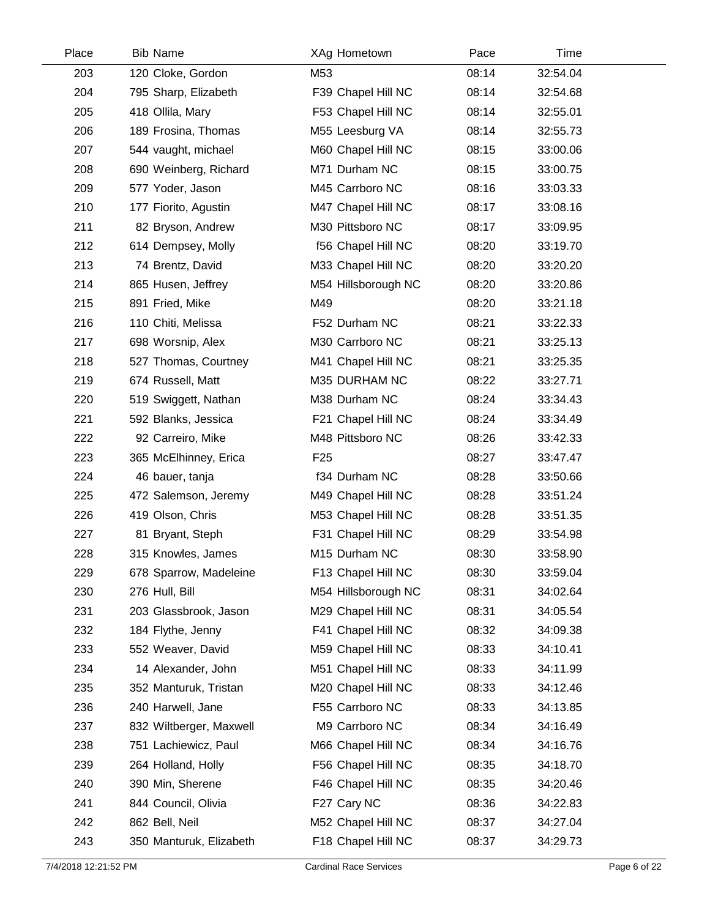| Place | <b>Bib Name</b>         | XAg Hometown        | Pace  | Time     |  |
|-------|-------------------------|---------------------|-------|----------|--|
| 203   | 120 Cloke, Gordon       | M53                 | 08:14 | 32:54.04 |  |
| 204   | 795 Sharp, Elizabeth    | F39 Chapel Hill NC  | 08:14 | 32:54.68 |  |
| 205   | 418 Ollila, Mary        | F53 Chapel Hill NC  | 08:14 | 32:55.01 |  |
| 206   | 189 Frosina, Thomas     | M55 Leesburg VA     | 08:14 | 32:55.73 |  |
| 207   | 544 vaught, michael     | M60 Chapel Hill NC  | 08:15 | 33:00.06 |  |
| 208   | 690 Weinberg, Richard   | M71 Durham NC       | 08:15 | 33:00.75 |  |
| 209   | 577 Yoder, Jason        | M45 Carrboro NC     | 08:16 | 33:03.33 |  |
| 210   | 177 Fiorito, Agustin    | M47 Chapel Hill NC  | 08:17 | 33:08.16 |  |
| 211   | 82 Bryson, Andrew       | M30 Pittsboro NC    | 08:17 | 33:09.95 |  |
| 212   | 614 Dempsey, Molly      | f56 Chapel Hill NC  | 08:20 | 33:19.70 |  |
| 213   | 74 Brentz, David        | M33 Chapel Hill NC  | 08:20 | 33:20.20 |  |
| 214   | 865 Husen, Jeffrey      | M54 Hillsborough NC | 08:20 | 33:20.86 |  |
| 215   | 891 Fried, Mike         | M49                 | 08:20 | 33:21.18 |  |
| 216   | 110 Chiti, Melissa      | F52 Durham NC       | 08:21 | 33:22.33 |  |
| 217   | 698 Worsnip, Alex       | M30 Carrboro NC     | 08:21 | 33:25.13 |  |
| 218   | 527 Thomas, Courtney    | M41 Chapel Hill NC  | 08:21 | 33:25.35 |  |
| 219   | 674 Russell, Matt       | M35 DURHAM NC       | 08:22 | 33:27.71 |  |
| 220   | 519 Swiggett, Nathan    | M38 Durham NC       | 08:24 | 33:34.43 |  |
| 221   | 592 Blanks, Jessica     | F21 Chapel Hill NC  | 08:24 | 33:34.49 |  |
| 222   | 92 Carreiro, Mike       | M48 Pittsboro NC    | 08:26 | 33:42.33 |  |
| 223   | 365 McElhinney, Erica   | F <sub>25</sub>     | 08:27 | 33:47.47 |  |
| 224   | 46 bauer, tanja         | f34 Durham NC       | 08:28 | 33:50.66 |  |
| 225   | 472 Salemson, Jeremy    | M49 Chapel Hill NC  | 08:28 | 33:51.24 |  |
| 226   | 419 Olson, Chris        | M53 Chapel Hill NC  | 08:28 | 33:51.35 |  |
| 227   | 81 Bryant, Steph        | F31 Chapel Hill NC  | 08:29 | 33:54.98 |  |
| 228   | 315 Knowles, James      | M15 Durham NC       | 08:30 | 33:58.90 |  |
| 229   | 678 Sparrow, Madeleine  | F13 Chapel Hill NC  | 08:30 | 33:59.04 |  |
| 230   | 276 Hull, Bill          | M54 Hillsborough NC | 08:31 | 34:02.64 |  |
| 231   | 203 Glassbrook, Jason   | M29 Chapel Hill NC  | 08:31 | 34:05.54 |  |
| 232   | 184 Flythe, Jenny       | F41 Chapel Hill NC  | 08:32 | 34:09.38 |  |
| 233   | 552 Weaver, David       | M59 Chapel Hill NC  | 08:33 | 34:10.41 |  |
| 234   | 14 Alexander, John      | M51 Chapel Hill NC  | 08:33 | 34:11.99 |  |
| 235   | 352 Manturuk, Tristan   | M20 Chapel Hill NC  | 08:33 | 34:12.46 |  |
| 236   | 240 Harwell, Jane       | F55 Carrboro NC     | 08:33 | 34:13.85 |  |
| 237   | 832 Wiltberger, Maxwell | M9 Carrboro NC      | 08:34 | 34:16.49 |  |
| 238   | 751 Lachiewicz, Paul    | M66 Chapel Hill NC  | 08:34 | 34:16.76 |  |
| 239   | 264 Holland, Holly      | F56 Chapel Hill NC  | 08:35 | 34:18.70 |  |
| 240   | 390 Min, Sherene        | F46 Chapel Hill NC  | 08:35 | 34:20.46 |  |
| 241   | 844 Council, Olivia     | F27 Cary NC         | 08:36 | 34:22.83 |  |
| 242   | 862 Bell, Neil          | M52 Chapel Hill NC  | 08:37 | 34:27.04 |  |
| 243   | 350 Manturuk, Elizabeth | F18 Chapel Hill NC  | 08:37 | 34:29.73 |  |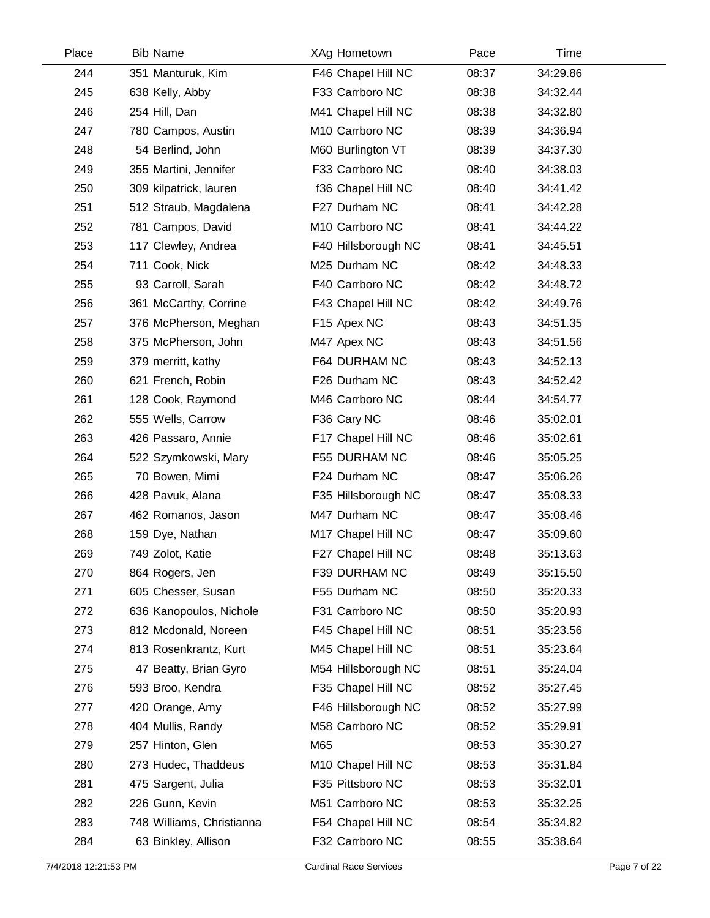| Place | <b>Bib Name</b>           | XAg Hometown                | Pace  | Time     |  |
|-------|---------------------------|-----------------------------|-------|----------|--|
| 244   | 351 Manturuk, Kim         | F46 Chapel Hill NC          | 08:37 | 34:29.86 |  |
| 245   | 638 Kelly, Abby           | F33 Carrboro NC             | 08:38 | 34:32.44 |  |
| 246   | 254 Hill, Dan             | M41 Chapel Hill NC          | 08:38 | 34:32.80 |  |
| 247   | 780 Campos, Austin        | M <sub>10</sub> Carrboro NC | 08:39 | 34:36.94 |  |
| 248   | 54 Berlind, John          | M60 Burlington VT           | 08:39 | 34:37.30 |  |
| 249   | 355 Martini, Jennifer     | F33 Carrboro NC             | 08:40 | 34:38.03 |  |
| 250   | 309 kilpatrick, lauren    | f36 Chapel Hill NC          | 08:40 | 34:41.42 |  |
| 251   | 512 Straub, Magdalena     | F27 Durham NC               | 08:41 | 34:42.28 |  |
| 252   | 781 Campos, David         | M10 Carrboro NC             | 08:41 | 34:44.22 |  |
| 253   | 117 Clewley, Andrea       | F40 Hillsborough NC         | 08:41 | 34:45.51 |  |
| 254   | 711 Cook, Nick            | M25 Durham NC               | 08:42 | 34:48.33 |  |
| 255   | 93 Carroll, Sarah         | F40 Carrboro NC             | 08:42 | 34:48.72 |  |
| 256   | 361 McCarthy, Corrine     | F43 Chapel Hill NC          | 08:42 | 34:49.76 |  |
| 257   | 376 McPherson, Meghan     | F15 Apex NC                 | 08:43 | 34:51.35 |  |
| 258   | 375 McPherson, John       | M47 Apex NC                 | 08:43 | 34:51.56 |  |
| 259   | 379 merritt, kathy        | F64 DURHAM NC               | 08:43 | 34:52.13 |  |
| 260   | 621 French, Robin         | F26 Durham NC               | 08:43 | 34:52.42 |  |
| 261   | 128 Cook, Raymond         | M46 Carrboro NC             | 08:44 | 34:54.77 |  |
| 262   | 555 Wells, Carrow         | F36 Cary NC                 | 08:46 | 35:02.01 |  |
| 263   | 426 Passaro, Annie        | F17 Chapel Hill NC          | 08:46 | 35:02.61 |  |
| 264   | 522 Szymkowski, Mary      | F55 DURHAM NC               | 08:46 | 35:05.25 |  |
| 265   | 70 Bowen, Mimi            | F24 Durham NC               | 08:47 | 35:06.26 |  |
| 266   | 428 Pavuk, Alana          | F35 Hillsborough NC         | 08:47 | 35:08.33 |  |
| 267   | 462 Romanos, Jason        | M47 Durham NC               | 08:47 | 35:08.46 |  |
| 268   | 159 Dye, Nathan           | M17 Chapel Hill NC          | 08:47 | 35:09.60 |  |
| 269   | 749 Zolot, Katie          | F27 Chapel Hill NC          | 08:48 | 35:13.63 |  |
| 270   | 864 Rogers, Jen           | F39 DURHAM NC               | 08:49 | 35:15.50 |  |
| 271   | 605 Chesser, Susan        | F55 Durham NC               | 08:50 | 35:20.33 |  |
| 272   | 636 Kanopoulos, Nichole   | F31 Carrboro NC             | 08:50 | 35:20.93 |  |
| 273   | 812 Mcdonald, Noreen      | F45 Chapel Hill NC          | 08:51 | 35:23.56 |  |
| 274   | 813 Rosenkrantz, Kurt     | M45 Chapel Hill NC          | 08:51 | 35:23.64 |  |
| 275   | 47 Beatty, Brian Gyro     | M54 Hillsborough NC         | 08:51 | 35:24.04 |  |
| 276   | 593 Broo, Kendra          | F35 Chapel Hill NC          | 08:52 | 35:27.45 |  |
| 277   | 420 Orange, Amy           | F46 Hillsborough NC         | 08:52 | 35:27.99 |  |
| 278   | 404 Mullis, Randy         | M58 Carrboro NC             | 08:52 | 35:29.91 |  |
| 279   | 257 Hinton, Glen          | M65                         | 08:53 | 35:30.27 |  |
| 280   | 273 Hudec, Thaddeus       | M10 Chapel Hill NC          | 08:53 | 35:31.84 |  |
| 281   | 475 Sargent, Julia        | F35 Pittsboro NC            | 08:53 | 35:32.01 |  |
| 282   | 226 Gunn, Kevin           | M51 Carrboro NC             | 08:53 | 35:32.25 |  |
| 283   | 748 Williams, Christianna | F54 Chapel Hill NC          | 08:54 | 35:34.82 |  |
| 284   | 63 Binkley, Allison       | F32 Carrboro NC             | 08:55 | 35:38.64 |  |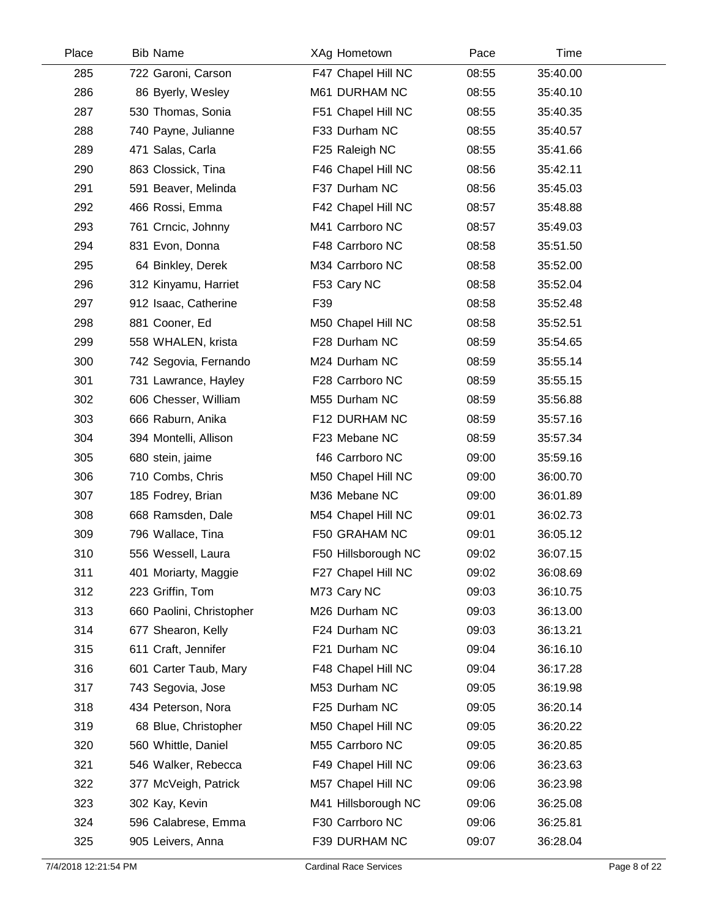| Place | <b>Bib Name</b>          | XAg Hometown        | Pace  | Time     |  |
|-------|--------------------------|---------------------|-------|----------|--|
| 285   | 722 Garoni, Carson       | F47 Chapel Hill NC  | 08:55 | 35:40.00 |  |
| 286   | 86 Byerly, Wesley        | M61 DURHAM NC       | 08:55 | 35:40.10 |  |
| 287   | 530 Thomas, Sonia        | F51 Chapel Hill NC  | 08:55 | 35:40.35 |  |
| 288   | 740 Payne, Julianne      | F33 Durham NC       | 08:55 | 35:40.57 |  |
| 289   | 471 Salas, Carla         | F25 Raleigh NC      | 08:55 | 35:41.66 |  |
| 290   | 863 Clossick, Tina       | F46 Chapel Hill NC  | 08:56 | 35:42.11 |  |
| 291   | 591 Beaver, Melinda      | F37 Durham NC       | 08:56 | 35:45.03 |  |
| 292   | 466 Rossi, Emma          | F42 Chapel Hill NC  | 08:57 | 35:48.88 |  |
| 293   | 761 Crncic, Johnny       | M41 Carrboro NC     | 08:57 | 35:49.03 |  |
| 294   | 831 Evon, Donna          | F48 Carrboro NC     | 08:58 | 35:51.50 |  |
| 295   | 64 Binkley, Derek        | M34 Carrboro NC     | 08:58 | 35:52.00 |  |
| 296   | 312 Kinyamu, Harriet     | F53 Cary NC         | 08:58 | 35:52.04 |  |
| 297   | 912 Isaac, Catherine     | F39                 | 08:58 | 35:52.48 |  |
| 298   | 881 Cooner, Ed           | M50 Chapel Hill NC  | 08:58 | 35:52.51 |  |
| 299   | 558 WHALEN, krista       | F28 Durham NC       | 08:59 | 35:54.65 |  |
| 300   | 742 Segovia, Fernando    | M24 Durham NC       | 08:59 | 35:55.14 |  |
| 301   | 731 Lawrance, Hayley     | F28 Carrboro NC     | 08:59 | 35:55.15 |  |
| 302   | 606 Chesser, William     | M55 Durham NC       | 08:59 | 35:56.88 |  |
| 303   | 666 Raburn, Anika        | F12 DURHAM NC       | 08:59 | 35:57.16 |  |
| 304   | 394 Montelli, Allison    | F23 Mebane NC       | 08:59 | 35:57.34 |  |
| 305   | 680 stein, jaime         | f46 Carrboro NC     | 09:00 | 35:59.16 |  |
| 306   | 710 Combs, Chris         | M50 Chapel Hill NC  | 09:00 | 36:00.70 |  |
| 307   | 185 Fodrey, Brian        | M36 Mebane NC       | 09:00 | 36:01.89 |  |
| 308   | 668 Ramsden, Dale        | M54 Chapel Hill NC  | 09:01 | 36:02.73 |  |
| 309   | 796 Wallace, Tina        | F50 GRAHAM NC       | 09:01 | 36:05.12 |  |
| 310   | 556 Wessell, Laura       | F50 Hillsborough NC | 09:02 | 36:07.15 |  |
| 311   | 401 Moriarty, Maggie     | F27 Chapel Hill NC  | 09:02 | 36:08.69 |  |
| 312   | 223 Griffin, Tom         | M73 Cary NC         | 09:03 | 36:10.75 |  |
| 313   | 660 Paolini, Christopher | M26 Durham NC       | 09:03 | 36:13.00 |  |
| 314   | 677 Shearon, Kelly       | F24 Durham NC       | 09:03 | 36:13.21 |  |
| 315   | 611 Craft, Jennifer      | F21 Durham NC       | 09:04 | 36:16.10 |  |
| 316   | 601 Carter Taub, Mary    | F48 Chapel Hill NC  | 09:04 | 36:17.28 |  |
| 317   | 743 Segovia, Jose        | M53 Durham NC       | 09:05 | 36:19.98 |  |
| 318   | 434 Peterson, Nora       | F25 Durham NC       | 09:05 | 36:20.14 |  |
| 319   | 68 Blue, Christopher     | M50 Chapel Hill NC  | 09:05 | 36:20.22 |  |
| 320   | 560 Whittle, Daniel      | M55 Carrboro NC     | 09:05 | 36:20.85 |  |
| 321   | 546 Walker, Rebecca      | F49 Chapel Hill NC  | 09:06 | 36:23.63 |  |
| 322   | 377 McVeigh, Patrick     | M57 Chapel Hill NC  | 09:06 | 36:23.98 |  |
| 323   | 302 Kay, Kevin           | M41 Hillsborough NC | 09:06 | 36:25.08 |  |
| 324   | 596 Calabrese, Emma      | F30 Carrboro NC     | 09:06 | 36:25.81 |  |
| 325   | 905 Leivers, Anna        | F39 DURHAM NC       | 09:07 | 36:28.04 |  |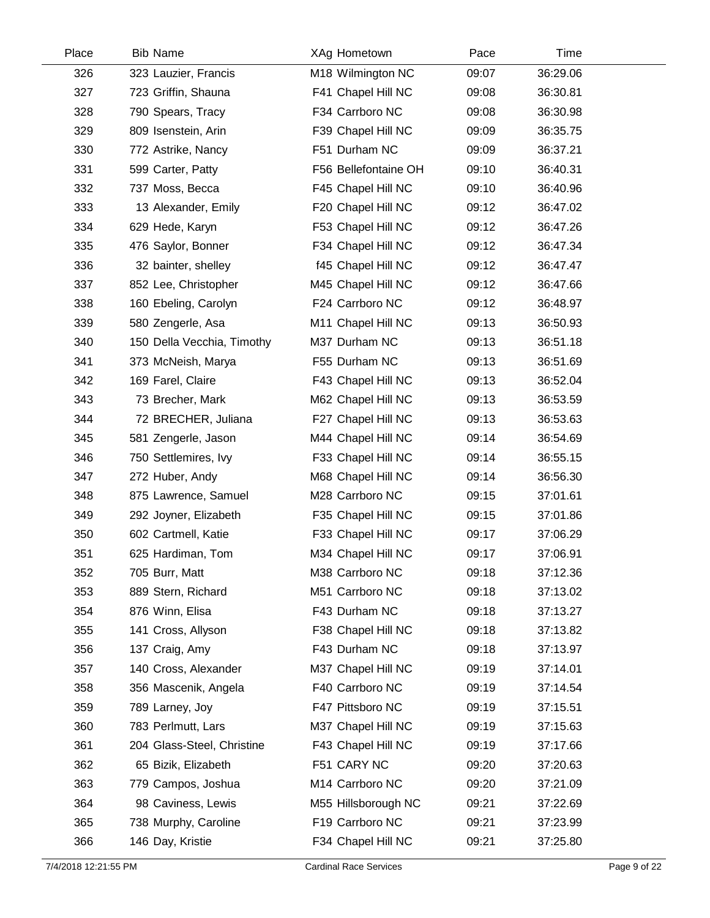| Place | <b>Bib Name</b>            | XAg Hometown         | Pace  | Time     |  |
|-------|----------------------------|----------------------|-------|----------|--|
| 326   | 323 Lauzier, Francis       | M18 Wilmington NC    | 09:07 | 36:29.06 |  |
| 327   | 723 Griffin, Shauna        | F41 Chapel Hill NC   | 09:08 | 36:30.81 |  |
| 328   | 790 Spears, Tracy          | F34 Carrboro NC      | 09:08 | 36:30.98 |  |
| 329   | 809 Isenstein, Arin        | F39 Chapel Hill NC   | 09:09 | 36:35.75 |  |
| 330   | 772 Astrike, Nancy         | F51 Durham NC        | 09:09 | 36:37.21 |  |
| 331   | 599 Carter, Patty          | F56 Bellefontaine OH | 09:10 | 36:40.31 |  |
| 332   | 737 Moss, Becca            | F45 Chapel Hill NC   | 09:10 | 36:40.96 |  |
| 333   | 13 Alexander, Emily        | F20 Chapel Hill NC   | 09:12 | 36:47.02 |  |
| 334   | 629 Hede, Karyn            | F53 Chapel Hill NC   | 09:12 | 36:47.26 |  |
| 335   | 476 Saylor, Bonner         | F34 Chapel Hill NC   | 09:12 | 36:47.34 |  |
| 336   | 32 bainter, shelley        | f45 Chapel Hill NC   | 09:12 | 36:47.47 |  |
| 337   | 852 Lee, Christopher       | M45 Chapel Hill NC   | 09:12 | 36:47.66 |  |
| 338   | 160 Ebeling, Carolyn       | F24 Carrboro NC      | 09:12 | 36:48.97 |  |
| 339   | 580 Zengerle, Asa          | M11 Chapel Hill NC   | 09:13 | 36:50.93 |  |
| 340   | 150 Della Vecchia, Timothy | M37 Durham NC        | 09:13 | 36:51.18 |  |
| 341   | 373 McNeish, Marya         | F55 Durham NC        | 09:13 | 36:51.69 |  |
| 342   | 169 Farel, Claire          | F43 Chapel Hill NC   | 09:13 | 36:52.04 |  |
| 343   | 73 Brecher, Mark           | M62 Chapel Hill NC   | 09:13 | 36:53.59 |  |
| 344   | 72 BRECHER, Juliana        | F27 Chapel Hill NC   | 09:13 | 36:53.63 |  |
| 345   | 581 Zengerle, Jason        | M44 Chapel Hill NC   | 09:14 | 36:54.69 |  |
| 346   | 750 Settlemires, Ivy       | F33 Chapel Hill NC   | 09:14 | 36:55.15 |  |
| 347   | 272 Huber, Andy            | M68 Chapel Hill NC   | 09:14 | 36:56.30 |  |
| 348   | 875 Lawrence, Samuel       | M28 Carrboro NC      | 09:15 | 37:01.61 |  |
| 349   | 292 Joyner, Elizabeth      | F35 Chapel Hill NC   | 09:15 | 37:01.86 |  |
| 350   | 602 Cartmell, Katie        | F33 Chapel Hill NC   | 09:17 | 37:06.29 |  |
| 351   | 625 Hardiman, Tom          | M34 Chapel Hill NC   | 09:17 | 37:06.91 |  |
| 352   | 705 Burr, Matt             | M38 Carrboro NC      | 09:18 | 37:12.36 |  |
| 353   | 889 Stern, Richard         | M51 Carrboro NC      | 09:18 | 37:13.02 |  |
| 354   | 876 Winn, Elisa            | F43 Durham NC        | 09:18 | 37:13.27 |  |
| 355   | 141 Cross, Allyson         | F38 Chapel Hill NC   | 09:18 | 37:13.82 |  |
| 356   | 137 Craig, Amy             | F43 Durham NC        | 09:18 | 37:13.97 |  |
| 357   | 140 Cross, Alexander       | M37 Chapel Hill NC   | 09:19 | 37:14.01 |  |
| 358   | 356 Mascenik, Angela       | F40 Carrboro NC      | 09:19 | 37:14.54 |  |
| 359   | 789 Larney, Joy            | F47 Pittsboro NC     | 09:19 | 37:15.51 |  |
| 360   | 783 Perlmutt, Lars         | M37 Chapel Hill NC   | 09:19 | 37:15.63 |  |
| 361   | 204 Glass-Steel, Christine | F43 Chapel Hill NC   | 09:19 | 37:17.66 |  |
| 362   | 65 Bizik, Elizabeth        | F51 CARY NC          | 09:20 | 37:20.63 |  |
| 363   | 779 Campos, Joshua         | M14 Carrboro NC      | 09:20 | 37:21.09 |  |
| 364   | 98 Caviness, Lewis         | M55 Hillsborough NC  | 09:21 | 37:22.69 |  |
| 365   | 738 Murphy, Caroline       | F19 Carrboro NC      | 09:21 | 37:23.99 |  |
| 366   | 146 Day, Kristie           | F34 Chapel Hill NC   | 09:21 | 37:25.80 |  |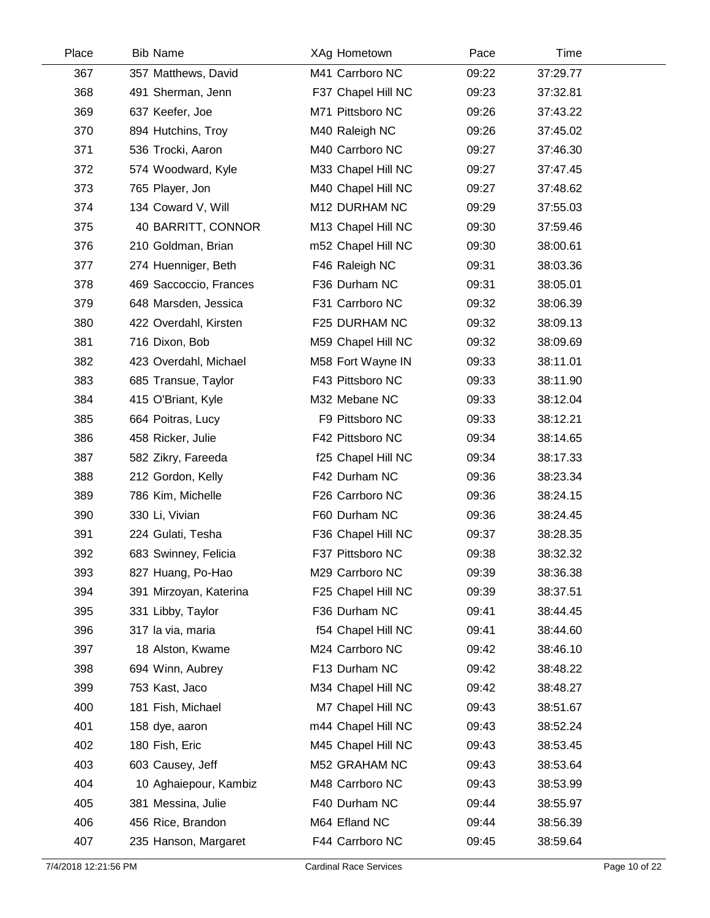| Place | <b>Bib Name</b>        | XAg Hometown       | Pace  | Time     |  |
|-------|------------------------|--------------------|-------|----------|--|
| 367   | 357 Matthews, David    | M41 Carrboro NC    | 09:22 | 37:29.77 |  |
| 368   | 491 Sherman, Jenn      | F37 Chapel Hill NC | 09:23 | 37:32.81 |  |
| 369   | 637 Keefer, Joe        | M71 Pittsboro NC   | 09:26 | 37:43.22 |  |
| 370   | 894 Hutchins, Troy     | M40 Raleigh NC     | 09:26 | 37:45.02 |  |
| 371   | 536 Trocki, Aaron      | M40 Carrboro NC    | 09:27 | 37:46.30 |  |
| 372   | 574 Woodward, Kyle     | M33 Chapel Hill NC | 09:27 | 37:47.45 |  |
| 373   | 765 Player, Jon        | M40 Chapel Hill NC | 09:27 | 37:48.62 |  |
| 374   | 134 Coward V, Will     | M12 DURHAM NC      | 09:29 | 37:55.03 |  |
| 375   | 40 BARRITT, CONNOR     | M13 Chapel Hill NC | 09:30 | 37:59.46 |  |
| 376   | 210 Goldman, Brian     | m52 Chapel Hill NC | 09:30 | 38:00.61 |  |
| 377   | 274 Huenniger, Beth    | F46 Raleigh NC     | 09:31 | 38:03.36 |  |
| 378   | 469 Saccoccio, Frances | F36 Durham NC      | 09:31 | 38:05.01 |  |
| 379   | 648 Marsden, Jessica   | F31 Carrboro NC    | 09:32 | 38:06.39 |  |
| 380   | 422 Overdahl, Kirsten  | F25 DURHAM NC      | 09:32 | 38:09.13 |  |
| 381   | 716 Dixon, Bob         | M59 Chapel Hill NC | 09:32 | 38:09.69 |  |
| 382   | 423 Overdahl, Michael  | M58 Fort Wayne IN  | 09:33 | 38:11.01 |  |
| 383   | 685 Transue, Taylor    | F43 Pittsboro NC   | 09:33 | 38:11.90 |  |
| 384   | 415 O'Briant, Kyle     | M32 Mebane NC      | 09:33 | 38:12.04 |  |
| 385   | 664 Poitras, Lucy      | F9 Pittsboro NC    | 09:33 | 38:12.21 |  |
| 386   | 458 Ricker, Julie      | F42 Pittsboro NC   | 09:34 | 38:14.65 |  |
| 387   | 582 Zikry, Fareeda     | f25 Chapel Hill NC | 09:34 | 38:17.33 |  |
| 388   | 212 Gordon, Kelly      | F42 Durham NC      | 09:36 | 38:23.34 |  |
| 389   | 786 Kim, Michelle      | F26 Carrboro NC    | 09:36 | 38:24.15 |  |
| 390   | 330 Li, Vivian         | F60 Durham NC      | 09:36 | 38:24.45 |  |
| 391   | 224 Gulati, Tesha      | F36 Chapel Hill NC | 09:37 | 38:28.35 |  |
| 392   | 683 Swinney, Felicia   | F37 Pittsboro NC   | 09:38 | 38:32.32 |  |
| 393   | 827 Huang, Po-Hao      | M29 Carrboro NC    | 09:39 | 38:36.38 |  |
| 394   | 391 Mirzoyan, Katerina | F25 Chapel Hill NC | 09:39 | 38:37.51 |  |
| 395   | 331 Libby, Taylor      | F36 Durham NC      | 09:41 | 38:44.45 |  |
| 396   | 317 la via, maria      | f54 Chapel Hill NC | 09:41 | 38:44.60 |  |
| 397   | 18 Alston, Kwame       | M24 Carrboro NC    | 09:42 | 38:46.10 |  |
| 398   | 694 Winn, Aubrey       | F13 Durham NC      | 09:42 | 38:48.22 |  |
| 399   | 753 Kast, Jaco         | M34 Chapel Hill NC | 09:42 | 38:48.27 |  |
| 400   | 181 Fish, Michael      | M7 Chapel Hill NC  | 09:43 | 38:51.67 |  |
| 401   | 158 dye, aaron         | m44 Chapel Hill NC | 09:43 | 38:52.24 |  |
| 402   | 180 Fish, Eric         | M45 Chapel Hill NC | 09:43 | 38:53.45 |  |
| 403   | 603 Causey, Jeff       | M52 GRAHAM NC      | 09:43 | 38:53.64 |  |
| 404   | 10 Aghaiepour, Kambiz  | M48 Carrboro NC    | 09:43 | 38:53.99 |  |
| 405   | 381 Messina, Julie     | F40 Durham NC      | 09:44 | 38:55.97 |  |
| 406   | 456 Rice, Brandon      | M64 Efland NC      | 09:44 | 38:56.39 |  |
| 407   | 235 Hanson, Margaret   | F44 Carrboro NC    | 09:45 | 38:59.64 |  |
|       |                        |                    |       |          |  |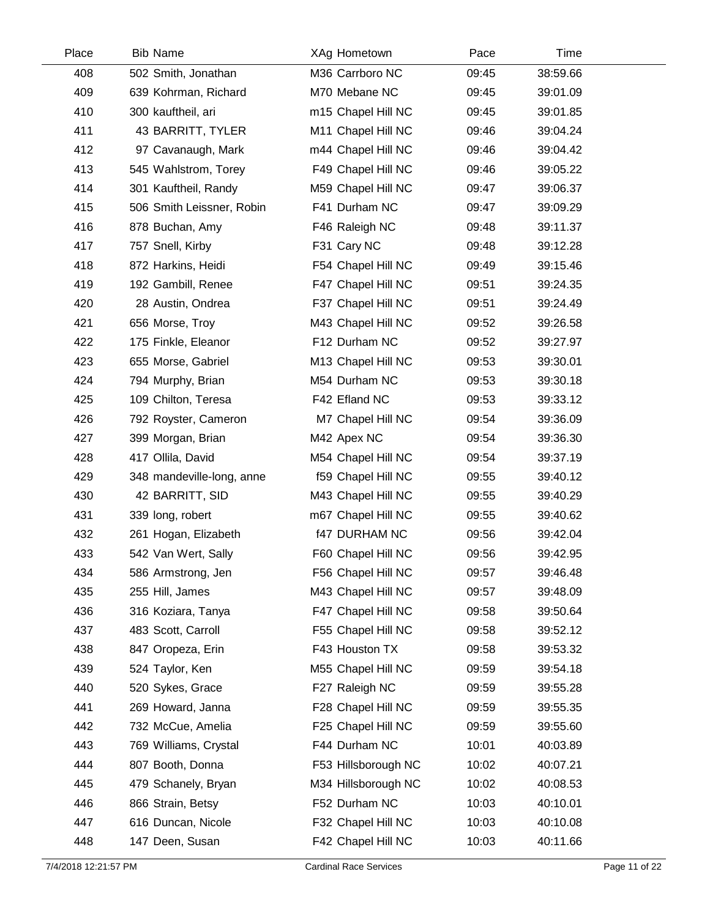| Place | <b>Bib Name</b>           | XAg Hometown         | Pace  | Time     |  |
|-------|---------------------------|----------------------|-------|----------|--|
| 408   | 502 Smith, Jonathan       | M36 Carrboro NC      | 09:45 | 38:59.66 |  |
| 409   | 639 Kohrman, Richard      | M70 Mebane NC        | 09:45 | 39:01.09 |  |
| 410   | 300 kauftheil, ari        | m15 Chapel Hill NC   | 09:45 | 39:01.85 |  |
| 411   | 43 BARRITT, TYLER         | M11 Chapel Hill NC   | 09:46 | 39:04.24 |  |
| 412   | 97 Cavanaugh, Mark        | m44 Chapel Hill NC   | 09:46 | 39:04.42 |  |
| 413   | 545 Wahlstrom, Torey      | F49 Chapel Hill NC   | 09:46 | 39:05.22 |  |
| 414   | 301 Kauftheil, Randy      | M59 Chapel Hill NC   | 09:47 | 39:06.37 |  |
| 415   | 506 Smith Leissner, Robin | F41 Durham NC        | 09:47 | 39:09.29 |  |
| 416   | 878 Buchan, Amy           | F46 Raleigh NC       | 09:48 | 39:11.37 |  |
| 417   | 757 Snell, Kirby          | F31 Cary NC          | 09:48 | 39:12.28 |  |
| 418   | 872 Harkins, Heidi        | F54 Chapel Hill NC   | 09:49 | 39:15.46 |  |
| 419   | 192 Gambill, Renee        | F47 Chapel Hill NC   | 09:51 | 39:24.35 |  |
| 420   | 28 Austin, Ondrea         | F37 Chapel Hill NC   | 09:51 | 39:24.49 |  |
| 421   | 656 Morse, Troy           | M43 Chapel Hill NC   | 09:52 | 39:26.58 |  |
| 422   | 175 Finkle, Eleanor       | F12 Durham NC        | 09:52 | 39:27.97 |  |
| 423   | 655 Morse, Gabriel        | M13 Chapel Hill NC   | 09:53 | 39:30.01 |  |
| 424   | 794 Murphy, Brian         | M54 Durham NC        | 09:53 | 39:30.18 |  |
| 425   | 109 Chilton, Teresa       | F42 Efland NC        | 09:53 | 39:33.12 |  |
| 426   | 792 Royster, Cameron      | M7 Chapel Hill NC    | 09:54 | 39:36.09 |  |
| 427   | 399 Morgan, Brian         | M42 Apex NC          | 09:54 | 39:36.30 |  |
| 428   | 417 Ollila, David         | M54 Chapel Hill NC   | 09:54 | 39:37.19 |  |
| 429   | 348 mandeville-long, anne | f59 Chapel Hill NC   | 09:55 | 39:40.12 |  |
| 430   | 42 BARRITT, SID           | M43 Chapel Hill NC   | 09:55 | 39:40.29 |  |
| 431   | 339 long, robert          | m67 Chapel Hill NC   | 09:55 | 39:40.62 |  |
| 432   | 261 Hogan, Elizabeth      | <b>f47 DURHAM NC</b> | 09:56 | 39:42.04 |  |
| 433   | 542 Van Wert, Sally       | F60 Chapel Hill NC   | 09:56 | 39:42.95 |  |
| 434   | 586 Armstrong, Jen        | F56 Chapel Hill NC   | 09:57 | 39:46.48 |  |
| 435   | 255 Hill, James           | M43 Chapel Hill NC   | 09:57 | 39:48.09 |  |
| 436   | 316 Koziara, Tanya        | F47 Chapel Hill NC   | 09:58 | 39:50.64 |  |
| 437   | 483 Scott, Carroll        | F55 Chapel Hill NC   | 09:58 | 39:52.12 |  |
| 438   | 847 Oropeza, Erin         | F43 Houston TX       | 09:58 | 39:53.32 |  |
| 439   | 524 Taylor, Ken           | M55 Chapel Hill NC   | 09:59 | 39:54.18 |  |
| 440   | 520 Sykes, Grace          | F27 Raleigh NC       | 09:59 | 39:55.28 |  |
| 441   | 269 Howard, Janna         | F28 Chapel Hill NC   | 09:59 | 39:55.35 |  |
| 442   | 732 McCue, Amelia         | F25 Chapel Hill NC   | 09:59 | 39:55.60 |  |
| 443   | 769 Williams, Crystal     | F44 Durham NC        | 10:01 | 40:03.89 |  |
| 444   | 807 Booth, Donna          | F53 Hillsborough NC  | 10:02 | 40:07.21 |  |
| 445   | 479 Schanely, Bryan       | M34 Hillsborough NC  | 10:02 | 40:08.53 |  |
| 446   | 866 Strain, Betsy         | F52 Durham NC        | 10:03 | 40:10.01 |  |
| 447   | 616 Duncan, Nicole        | F32 Chapel Hill NC   | 10:03 | 40:10.08 |  |
| 448   | 147 Deen, Susan           | F42 Chapel Hill NC   | 10:03 | 40:11.66 |  |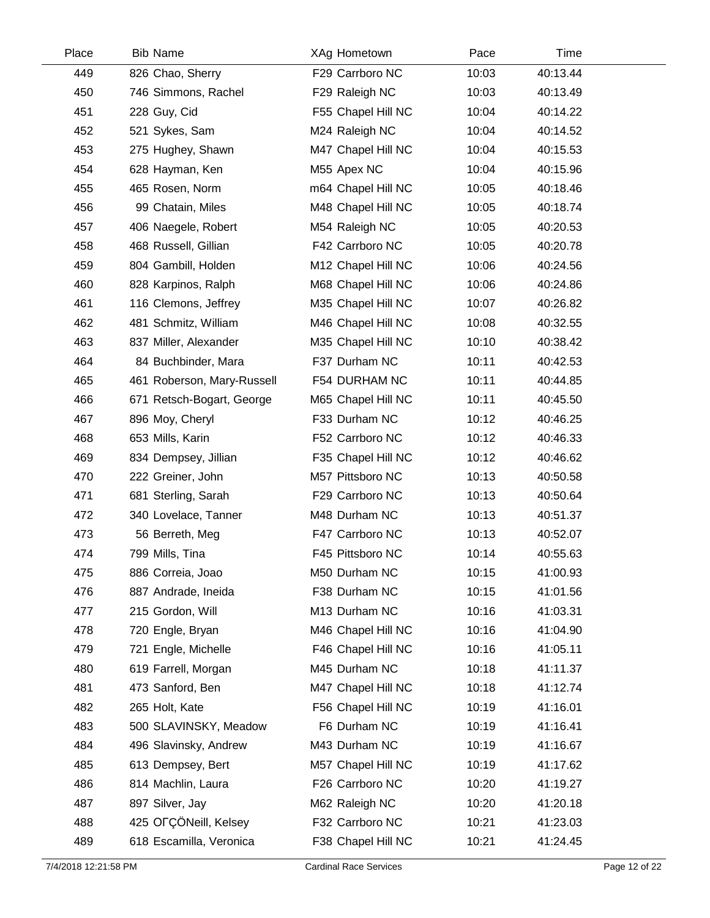| Place | <b>Bib Name</b>            | XAg Hometown       | Pace  | Time     |  |
|-------|----------------------------|--------------------|-------|----------|--|
| 449   | 826 Chao, Sherry           | F29 Carrboro NC    | 10:03 | 40:13.44 |  |
| 450   | 746 Simmons, Rachel        | F29 Raleigh NC     | 10:03 | 40:13.49 |  |
| 451   | 228 Guy, Cid               | F55 Chapel Hill NC | 10:04 | 40:14.22 |  |
| 452   | 521 Sykes, Sam             | M24 Raleigh NC     | 10:04 | 40:14.52 |  |
| 453   | 275 Hughey, Shawn          | M47 Chapel Hill NC | 10:04 | 40:15.53 |  |
| 454   | 628 Hayman, Ken            | M55 Apex NC        | 10:04 | 40:15.96 |  |
| 455   | 465 Rosen, Norm            | m64 Chapel Hill NC | 10:05 | 40:18.46 |  |
| 456   | 99 Chatain, Miles          | M48 Chapel Hill NC | 10:05 | 40:18.74 |  |
| 457   | 406 Naegele, Robert        | M54 Raleigh NC     | 10:05 | 40:20.53 |  |
| 458   | 468 Russell, Gillian       | F42 Carrboro NC    | 10:05 | 40:20.78 |  |
| 459   | 804 Gambill, Holden        | M12 Chapel Hill NC | 10:06 | 40:24.56 |  |
| 460   | 828 Karpinos, Ralph        | M68 Chapel Hill NC | 10:06 | 40:24.86 |  |
| 461   | 116 Clemons, Jeffrey       | M35 Chapel Hill NC | 10:07 | 40:26.82 |  |
| 462   | 481 Schmitz, William       | M46 Chapel Hill NC | 10:08 | 40:32.55 |  |
| 463   | 837 Miller, Alexander      | M35 Chapel Hill NC | 10:10 | 40:38.42 |  |
| 464   | 84 Buchbinder, Mara        | F37 Durham NC      | 10:11 | 40:42.53 |  |
| 465   | 461 Roberson, Mary-Russell | F54 DURHAM NC      | 10:11 | 40:44.85 |  |
| 466   | 671 Retsch-Bogart, George  | M65 Chapel Hill NC | 10:11 | 40:45.50 |  |
| 467   | 896 Moy, Cheryl            | F33 Durham NC      | 10:12 | 40:46.25 |  |
| 468   | 653 Mills, Karin           | F52 Carrboro NC    | 10:12 | 40:46.33 |  |
| 469   | 834 Dempsey, Jillian       | F35 Chapel Hill NC | 10:12 | 40:46.62 |  |
| 470   | 222 Greiner, John          | M57 Pittsboro NC   | 10:13 | 40:50.58 |  |
| 471   | 681 Sterling, Sarah        | F29 Carrboro NC    | 10:13 | 40:50.64 |  |
| 472   | 340 Lovelace, Tanner       | M48 Durham NC      | 10:13 | 40:51.37 |  |
| 473   | 56 Berreth, Meg            | F47 Carrboro NC    | 10:13 | 40:52.07 |  |
| 474   | 799 Mills, Tina            | F45 Pittsboro NC   | 10:14 | 40:55.63 |  |
| 475   | 886 Correia, Joao          | M50 Durham NC      | 10:15 | 41:00.93 |  |
| 476   | 887 Andrade, Ineida        | F38 Durham NC      | 10:15 | 41:01.56 |  |
| 477   | 215 Gordon, Will           | M13 Durham NC      | 10:16 | 41:03.31 |  |
| 478   | 720 Engle, Bryan           | M46 Chapel Hill NC | 10:16 | 41:04.90 |  |
| 479   | 721 Engle, Michelle        | F46 Chapel Hill NC | 10:16 | 41:05.11 |  |
| 480   | 619 Farrell, Morgan        | M45 Durham NC      | 10:18 | 41:11.37 |  |
| 481   | 473 Sanford, Ben           | M47 Chapel Hill NC | 10:18 | 41:12.74 |  |
| 482   | 265 Holt, Kate             | F56 Chapel Hill NC | 10:19 | 41:16.01 |  |
| 483   | 500 SLAVINSKY, Meadow      | F6 Durham NC       | 10:19 | 41:16.41 |  |
| 484   | 496 Slavinsky, Andrew      | M43 Durham NC      | 10:19 | 41:16.67 |  |
| 485   | 613 Dempsey, Bert          | M57 Chapel Hill NC | 10:19 | 41:17.62 |  |
| 486   | 814 Machlin, Laura         | F26 Carrboro NC    | 10:20 | 41:19.27 |  |
| 487   | 897 Silver, Jay            | M62 Raleigh NC     | 10:20 | 41:20.18 |  |
| 488   | 425 OFÇÖNeill, Kelsey      | F32 Carrboro NC    | 10:21 | 41:23.03 |  |
| 489   | 618 Escamilla, Veronica    | F38 Chapel Hill NC | 10:21 | 41:24.45 |  |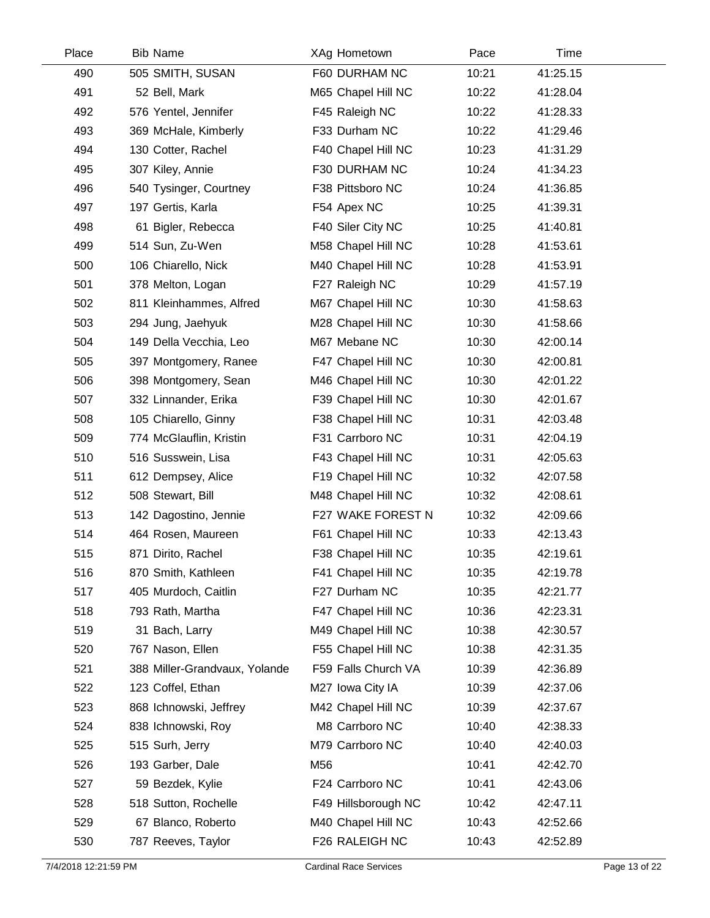| Place | <b>Bib Name</b>               | XAg Hometown        | Pace  | Time     |  |
|-------|-------------------------------|---------------------|-------|----------|--|
| 490   | 505 SMITH, SUSAN              | F60 DURHAM NC       | 10:21 | 41:25.15 |  |
| 491   | 52 Bell, Mark                 | M65 Chapel Hill NC  | 10:22 | 41:28.04 |  |
| 492   | 576 Yentel, Jennifer          | F45 Raleigh NC      | 10:22 | 41:28.33 |  |
| 493   | 369 McHale, Kimberly          | F33 Durham NC       | 10:22 | 41:29.46 |  |
| 494   | 130 Cotter, Rachel            | F40 Chapel Hill NC  | 10:23 | 41:31.29 |  |
| 495   | 307 Kiley, Annie              | F30 DURHAM NC       | 10:24 | 41:34.23 |  |
| 496   | 540 Tysinger, Courtney        | F38 Pittsboro NC    | 10:24 | 41:36.85 |  |
| 497   | 197 Gertis, Karla             | F54 Apex NC         | 10:25 | 41:39.31 |  |
| 498   | 61 Bigler, Rebecca            | F40 Siler City NC   | 10:25 | 41:40.81 |  |
| 499   | 514 Sun, Zu-Wen               | M58 Chapel Hill NC  | 10:28 | 41:53.61 |  |
| 500   | 106 Chiarello, Nick           | M40 Chapel Hill NC  | 10:28 | 41:53.91 |  |
| 501   | 378 Melton, Logan             | F27 Raleigh NC      | 10:29 | 41:57.19 |  |
| 502   | 811 Kleinhammes, Alfred       | M67 Chapel Hill NC  | 10:30 | 41:58.63 |  |
| 503   | 294 Jung, Jaehyuk             | M28 Chapel Hill NC  | 10:30 | 41:58.66 |  |
| 504   | 149 Della Vecchia, Leo        | M67 Mebane NC       | 10:30 | 42:00.14 |  |
| 505   | 397 Montgomery, Ranee         | F47 Chapel Hill NC  | 10:30 | 42:00.81 |  |
| 506   | 398 Montgomery, Sean          | M46 Chapel Hill NC  | 10:30 | 42:01.22 |  |
| 507   | 332 Linnander, Erika          | F39 Chapel Hill NC  | 10:30 | 42:01.67 |  |
| 508   | 105 Chiarello, Ginny          | F38 Chapel Hill NC  | 10:31 | 42:03.48 |  |
| 509   | 774 McGlauflin, Kristin       | F31 Carrboro NC     | 10:31 | 42:04.19 |  |
| 510   | 516 Susswein, Lisa            | F43 Chapel Hill NC  | 10:31 | 42:05.63 |  |
| 511   | 612 Dempsey, Alice            | F19 Chapel Hill NC  | 10:32 | 42:07.58 |  |
| 512   | 508 Stewart, Bill             | M48 Chapel Hill NC  | 10:32 | 42:08.61 |  |
| 513   | 142 Dagostino, Jennie         | F27 WAKE FOREST N   | 10:32 | 42:09.66 |  |
| 514   | 464 Rosen, Maureen            | F61 Chapel Hill NC  | 10:33 | 42:13.43 |  |
| 515   | 871 Dirito, Rachel            | F38 Chapel Hill NC  | 10:35 | 42:19.61 |  |
| 516   | 870 Smith, Kathleen           | F41 Chapel Hill NC  | 10:35 | 42:19.78 |  |
| 517   | 405 Murdoch, Caitlin          | F27 Durham NC       | 10:35 | 42:21.77 |  |
| 518   | 793 Rath, Martha              | F47 Chapel Hill NC  | 10:36 | 42:23.31 |  |
| 519   | 31 Bach, Larry                | M49 Chapel Hill NC  | 10:38 | 42:30.57 |  |
| 520   | 767 Nason, Ellen              | F55 Chapel Hill NC  | 10:38 | 42:31.35 |  |
| 521   | 388 Miller-Grandvaux, Yolande | F59 Falls Church VA | 10:39 | 42:36.89 |  |
| 522   | 123 Coffel, Ethan             | M27 Iowa City IA    | 10:39 | 42:37.06 |  |
| 523   | 868 Ichnowski, Jeffrey        | M42 Chapel Hill NC  | 10:39 | 42:37.67 |  |
| 524   | 838 Ichnowski, Roy            | M8 Carrboro NC      | 10:40 | 42:38.33 |  |
| 525   | 515 Surh, Jerry               | M79 Carrboro NC     | 10:40 | 42:40.03 |  |
| 526   | 193 Garber, Dale              | M56                 | 10:41 | 42:42.70 |  |
| 527   | 59 Bezdek, Kylie              | F24 Carrboro NC     | 10:41 | 42:43.06 |  |
| 528   | 518 Sutton, Rochelle          | F49 Hillsborough NC | 10:42 | 42:47.11 |  |
| 529   | 67 Blanco, Roberto            | M40 Chapel Hill NC  | 10:43 | 42:52.66 |  |
| 530   | 787 Reeves, Taylor            | F26 RALEIGH NC      | 10:43 | 42:52.89 |  |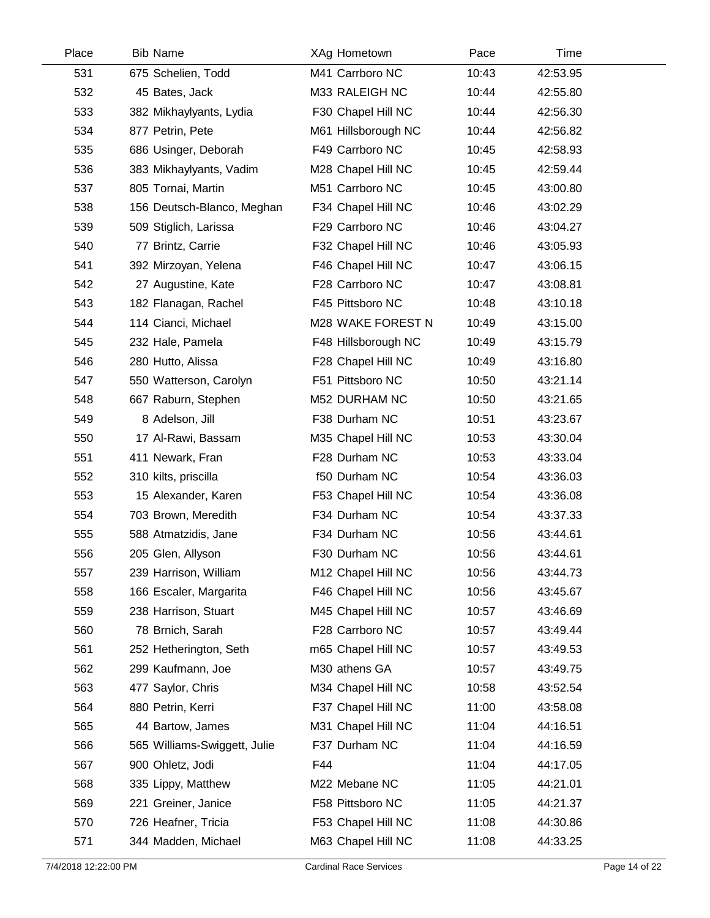| Place | <b>Bib Name</b>              | XAg Hometown        | Pace  | Time     |  |
|-------|------------------------------|---------------------|-------|----------|--|
| 531   | 675 Schelien, Todd           | M41 Carrboro NC     | 10:43 | 42:53.95 |  |
| 532   | 45 Bates, Jack               | M33 RALEIGH NC      | 10:44 | 42:55.80 |  |
| 533   | 382 Mikhaylyants, Lydia      | F30 Chapel Hill NC  | 10:44 | 42:56.30 |  |
| 534   | 877 Petrin, Pete             | M61 Hillsborough NC | 10:44 | 42:56.82 |  |
| 535   | 686 Usinger, Deborah         | F49 Carrboro NC     | 10:45 | 42:58.93 |  |
| 536   | 383 Mikhaylyants, Vadim      | M28 Chapel Hill NC  | 10:45 | 42:59.44 |  |
| 537   | 805 Tornai, Martin           | M51 Carrboro NC     | 10:45 | 43:00.80 |  |
| 538   | 156 Deutsch-Blanco, Meghan   | F34 Chapel Hill NC  | 10:46 | 43:02.29 |  |
| 539   | 509 Stiglich, Larissa        | F29 Carrboro NC     | 10:46 | 43:04.27 |  |
| 540   | 77 Brintz, Carrie            | F32 Chapel Hill NC  | 10:46 | 43:05.93 |  |
| 541   | 392 Mirzoyan, Yelena         | F46 Chapel Hill NC  | 10:47 | 43:06.15 |  |
| 542   | 27 Augustine, Kate           | F28 Carrboro NC     | 10:47 | 43:08.81 |  |
| 543   | 182 Flanagan, Rachel         | F45 Pittsboro NC    | 10:48 | 43:10.18 |  |
| 544   | 114 Cianci, Michael          | M28 WAKE FOREST N   | 10:49 | 43:15.00 |  |
| 545   | 232 Hale, Pamela             | F48 Hillsborough NC | 10:49 | 43:15.79 |  |
| 546   | 280 Hutto, Alissa            | F28 Chapel Hill NC  | 10:49 | 43:16.80 |  |
| 547   | 550 Watterson, Carolyn       | F51 Pittsboro NC    | 10:50 | 43:21.14 |  |
| 548   | 667 Raburn, Stephen          | M52 DURHAM NC       | 10:50 | 43:21.65 |  |
| 549   | 8 Adelson, Jill              | F38 Durham NC       | 10:51 | 43:23.67 |  |
| 550   | 17 Al-Rawi, Bassam           | M35 Chapel Hill NC  | 10:53 | 43:30.04 |  |
| 551   | 411 Newark, Fran             | F28 Durham NC       | 10:53 | 43:33.04 |  |
| 552   | 310 kilts, priscilla         | f50 Durham NC       | 10:54 | 43:36.03 |  |
| 553   | 15 Alexander, Karen          | F53 Chapel Hill NC  | 10:54 | 43:36.08 |  |
| 554   | 703 Brown, Meredith          | F34 Durham NC       | 10:54 | 43:37.33 |  |
| 555   | 588 Atmatzidis, Jane         | F34 Durham NC       | 10:56 | 43:44.61 |  |
| 556   | 205 Glen, Allyson            | F30 Durham NC       | 10:56 | 43:44.61 |  |
| 557   | 239 Harrison, William        | M12 Chapel Hill NC  | 10:56 | 43:44.73 |  |
| 558   | 166 Escaler, Margarita       | F46 Chapel Hill NC  | 10:56 | 43:45.67 |  |
| 559   | 238 Harrison, Stuart         | M45 Chapel Hill NC  | 10:57 | 43:46.69 |  |
| 560   | 78 Brnich, Sarah             | F28 Carrboro NC     | 10:57 | 43:49.44 |  |
| 561   | 252 Hetherington, Seth       | m65 Chapel Hill NC  | 10:57 | 43:49.53 |  |
| 562   | 299 Kaufmann, Joe            | M30 athens GA       | 10:57 | 43:49.75 |  |
| 563   | 477 Saylor, Chris            | M34 Chapel Hill NC  | 10:58 | 43:52.54 |  |
| 564   | 880 Petrin, Kerri            | F37 Chapel Hill NC  | 11:00 | 43:58.08 |  |
| 565   | 44 Bartow, James             | M31 Chapel Hill NC  | 11:04 | 44:16.51 |  |
| 566   | 565 Williams-Swiggett, Julie | F37 Durham NC       | 11:04 | 44:16.59 |  |
| 567   | 900 Ohletz, Jodi             | F44                 | 11:04 | 44:17.05 |  |
| 568   | 335 Lippy, Matthew           | M22 Mebane NC       | 11:05 | 44:21.01 |  |
| 569   | 221 Greiner, Janice          | F58 Pittsboro NC    | 11:05 | 44:21.37 |  |
| 570   | 726 Heafner, Tricia          | F53 Chapel Hill NC  | 11:08 | 44:30.86 |  |
| 571   | 344 Madden, Michael          | M63 Chapel Hill NC  | 11:08 | 44:33.25 |  |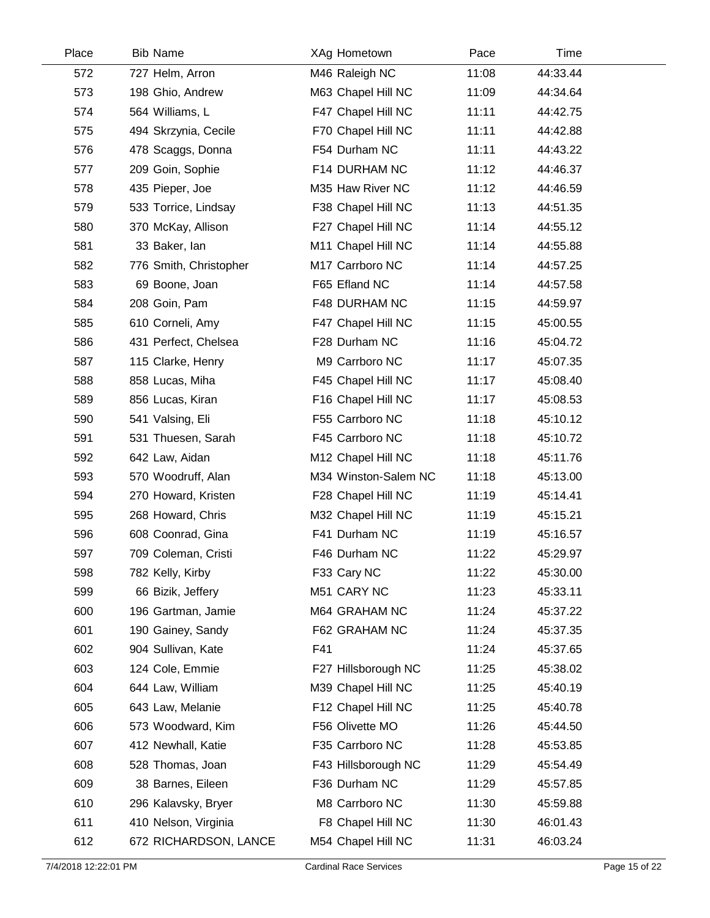| Place | <b>Bib Name</b>        | XAg Hometown         | Pace  | Time     |  |
|-------|------------------------|----------------------|-------|----------|--|
| 572   | 727 Helm, Arron        | M46 Raleigh NC       | 11:08 | 44:33.44 |  |
| 573   | 198 Ghio, Andrew       | M63 Chapel Hill NC   | 11:09 | 44:34.64 |  |
| 574   | 564 Williams, L        | F47 Chapel Hill NC   | 11:11 | 44:42.75 |  |
| 575   | 494 Skrzynia, Cecile   | F70 Chapel Hill NC   | 11:11 | 44:42.88 |  |
| 576   | 478 Scaggs, Donna      | F54 Durham NC        | 11:11 | 44:43.22 |  |
| 577   | 209 Goin, Sophie       | F14 DURHAM NC        | 11:12 | 44:46.37 |  |
| 578   | 435 Pieper, Joe        | M35 Haw River NC     | 11:12 | 44:46.59 |  |
| 579   | 533 Torrice, Lindsay   | F38 Chapel Hill NC   | 11:13 | 44:51.35 |  |
| 580   | 370 McKay, Allison     | F27 Chapel Hill NC   | 11:14 | 44:55.12 |  |
| 581   | 33 Baker, lan          | M11 Chapel Hill NC   | 11:14 | 44:55.88 |  |
| 582   | 776 Smith, Christopher | M17 Carrboro NC      | 11:14 | 44:57.25 |  |
| 583   | 69 Boone, Joan         | F65 Efland NC        | 11:14 | 44:57.58 |  |
| 584   | 208 Goin, Pam          | F48 DURHAM NC        | 11:15 | 44:59.97 |  |
| 585   | 610 Corneli, Amy       | F47 Chapel Hill NC   | 11:15 | 45:00.55 |  |
| 586   | 431 Perfect, Chelsea   | F28 Durham NC        | 11:16 | 45:04.72 |  |
| 587   | 115 Clarke, Henry      | M9 Carrboro NC       | 11:17 | 45:07.35 |  |
| 588   | 858 Lucas, Miha        | F45 Chapel Hill NC   | 11:17 | 45:08.40 |  |
| 589   | 856 Lucas, Kiran       | F16 Chapel Hill NC   | 11:17 | 45:08.53 |  |
| 590   | 541 Valsing, Eli       | F55 Carrboro NC      | 11:18 | 45:10.12 |  |
| 591   | 531 Thuesen, Sarah     | F45 Carrboro NC      | 11:18 | 45:10.72 |  |
| 592   | 642 Law, Aidan         | M12 Chapel Hill NC   | 11:18 | 45:11.76 |  |
| 593   | 570 Woodruff, Alan     | M34 Winston-Salem NC | 11:18 | 45:13.00 |  |
| 594   | 270 Howard, Kristen    | F28 Chapel Hill NC   | 11:19 | 45:14.41 |  |
| 595   | 268 Howard, Chris      | M32 Chapel Hill NC   | 11:19 | 45:15.21 |  |
| 596   | 608 Coonrad, Gina      | F41 Durham NC        | 11:19 | 45:16.57 |  |
| 597   | 709 Coleman, Cristi    | F46 Durham NC        | 11:22 | 45:29.97 |  |
| 598   | 782 Kelly, Kirby       | F33 Cary NC          | 11:22 | 45:30.00 |  |
| 599   | 66 Bizik, Jeffery      | M51 CARY NC          | 11:23 | 45:33.11 |  |
| 600   | 196 Gartman, Jamie     | M64 GRAHAM NC        | 11:24 | 45:37.22 |  |
| 601   | 190 Gainey, Sandy      | F62 GRAHAM NC        | 11:24 | 45:37.35 |  |
| 602   | 904 Sullivan, Kate     | F41                  | 11:24 | 45:37.65 |  |
| 603   | 124 Cole, Emmie        | F27 Hillsborough NC  | 11:25 | 45:38.02 |  |
| 604   | 644 Law, William       | M39 Chapel Hill NC   | 11:25 | 45:40.19 |  |
| 605   | 643 Law, Melanie       | F12 Chapel Hill NC   | 11:25 | 45:40.78 |  |
| 606   | 573 Woodward, Kim      | F56 Olivette MO      | 11:26 | 45:44.50 |  |
| 607   | 412 Newhall, Katie     | F35 Carrboro NC      | 11:28 | 45:53.85 |  |
| 608   | 528 Thomas, Joan       | F43 Hillsborough NC  | 11:29 | 45:54.49 |  |
| 609   | 38 Barnes, Eileen      | F36 Durham NC        | 11:29 | 45:57.85 |  |
| 610   | 296 Kalavsky, Bryer    | M8 Carrboro NC       | 11:30 | 45:59.88 |  |
| 611   | 410 Nelson, Virginia   | F8 Chapel Hill NC    | 11:30 | 46:01.43 |  |
| 612   | 672 RICHARDSON, LANCE  | M54 Chapel Hill NC   | 11:31 | 46:03.24 |  |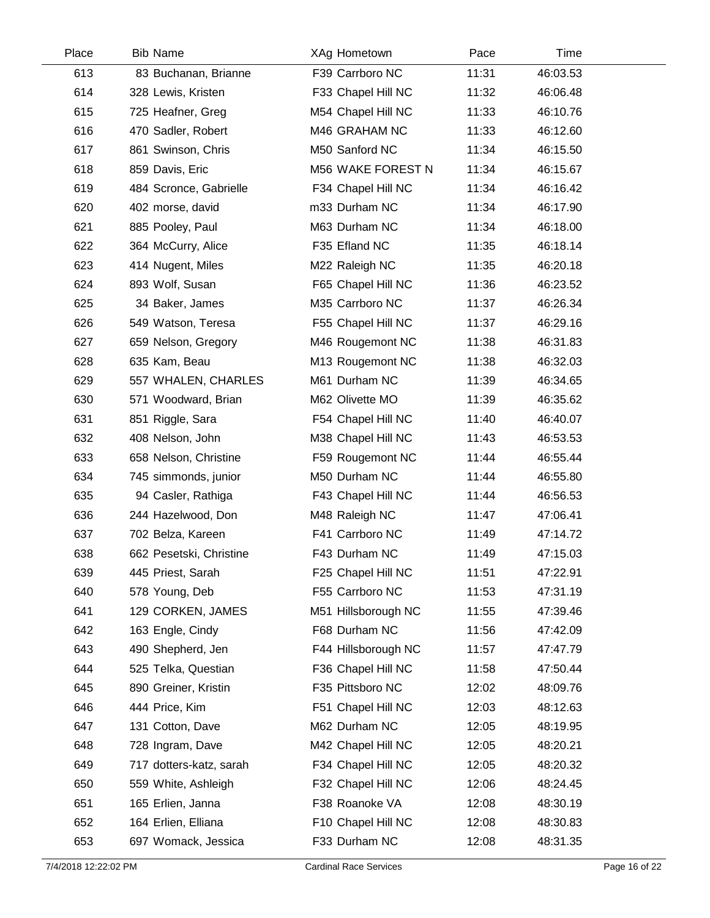| Place | <b>Bib Name</b>         | XAg Hometown        | Pace  | Time     |  |
|-------|-------------------------|---------------------|-------|----------|--|
| 613   | 83 Buchanan, Brianne    | F39 Carrboro NC     | 11:31 | 46:03.53 |  |
| 614   | 328 Lewis, Kristen      | F33 Chapel Hill NC  | 11:32 | 46:06.48 |  |
| 615   | 725 Heafner, Greg       | M54 Chapel Hill NC  | 11:33 | 46:10.76 |  |
| 616   | 470 Sadler, Robert      | M46 GRAHAM NC       | 11:33 | 46:12.60 |  |
| 617   | 861 Swinson, Chris      | M50 Sanford NC      | 11:34 | 46:15.50 |  |
| 618   | 859 Davis, Eric         | M56 WAKE FOREST N   | 11:34 | 46:15.67 |  |
| 619   | 484 Scronce, Gabrielle  | F34 Chapel Hill NC  | 11:34 | 46:16.42 |  |
| 620   | 402 morse, david        | m33 Durham NC       | 11:34 | 46:17.90 |  |
| 621   | 885 Pooley, Paul        | M63 Durham NC       | 11:34 | 46:18.00 |  |
| 622   | 364 McCurry, Alice      | F35 Efland NC       | 11:35 | 46:18.14 |  |
| 623   | 414 Nugent, Miles       | M22 Raleigh NC      | 11:35 | 46:20.18 |  |
| 624   | 893 Wolf, Susan         | F65 Chapel Hill NC  | 11:36 | 46:23.52 |  |
| 625   | 34 Baker, James         | M35 Carrboro NC     | 11:37 | 46:26.34 |  |
| 626   | 549 Watson, Teresa      | F55 Chapel Hill NC  | 11:37 | 46:29.16 |  |
| 627   | 659 Nelson, Gregory     | M46 Rougemont NC    | 11:38 | 46:31.83 |  |
| 628   | 635 Kam, Beau           | M13 Rougemont NC    | 11:38 | 46:32.03 |  |
| 629   | 557 WHALEN, CHARLES     | M61 Durham NC       | 11:39 | 46:34.65 |  |
| 630   | 571 Woodward, Brian     | M62 Olivette MO     | 11:39 | 46:35.62 |  |
| 631   | 851 Riggle, Sara        | F54 Chapel Hill NC  | 11:40 | 46:40.07 |  |
| 632   | 408 Nelson, John        | M38 Chapel Hill NC  | 11:43 | 46:53.53 |  |
| 633   | 658 Nelson, Christine   | F59 Rougemont NC    | 11:44 | 46:55.44 |  |
| 634   | 745 simmonds, junior    | M50 Durham NC       | 11:44 | 46:55.80 |  |
| 635   | 94 Casler, Rathiga      | F43 Chapel Hill NC  | 11:44 | 46:56.53 |  |
| 636   | 244 Hazelwood, Don      | M48 Raleigh NC      | 11:47 | 47:06.41 |  |
| 637   | 702 Belza, Kareen       | F41 Carrboro NC     | 11:49 | 47:14.72 |  |
| 638   | 662 Pesetski, Christine | F43 Durham NC       | 11:49 | 47:15.03 |  |
| 639   | 445 Priest, Sarah       | F25 Chapel Hill NC  | 11:51 | 47:22.91 |  |
| 640   | 578 Young, Deb          | F55 Carrboro NC     | 11:53 | 47:31.19 |  |
| 641   | 129 CORKEN, JAMES       | M51 Hillsborough NC | 11:55 | 47:39.46 |  |
| 642   | 163 Engle, Cindy        | F68 Durham NC       | 11:56 | 47:42.09 |  |
| 643   | 490 Shepherd, Jen       | F44 Hillsborough NC | 11:57 | 47:47.79 |  |
| 644   | 525 Telka, Questian     | F36 Chapel Hill NC  | 11:58 | 47:50.44 |  |
| 645   | 890 Greiner, Kristin    | F35 Pittsboro NC    | 12:02 | 48:09.76 |  |
| 646   | 444 Price, Kim          | F51 Chapel Hill NC  | 12:03 | 48:12.63 |  |
| 647   | 131 Cotton, Dave        | M62 Durham NC       | 12:05 | 48:19.95 |  |
| 648   | 728 Ingram, Dave        | M42 Chapel Hill NC  | 12:05 | 48:20.21 |  |
| 649   | 717 dotters-katz, sarah | F34 Chapel Hill NC  | 12:05 | 48:20.32 |  |
| 650   | 559 White, Ashleigh     | F32 Chapel Hill NC  | 12:06 | 48:24.45 |  |
| 651   | 165 Erlien, Janna       | F38 Roanoke VA      | 12:08 | 48:30.19 |  |
| 652   | 164 Erlien, Elliana     | F10 Chapel Hill NC  | 12:08 | 48:30.83 |  |
| 653   | 697 Womack, Jessica     | F33 Durham NC       | 12:08 | 48:31.35 |  |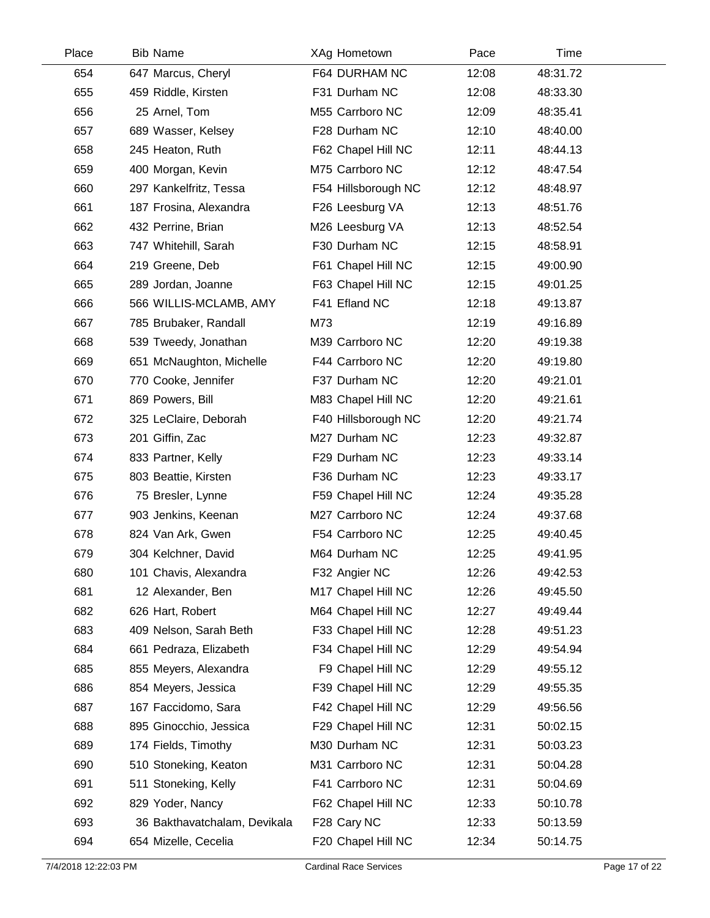| Place | <b>Bib Name</b>              | XAg Hometown        | Pace  | Time     |  |
|-------|------------------------------|---------------------|-------|----------|--|
| 654   | 647 Marcus, Cheryl           | F64 DURHAM NC       | 12:08 | 48:31.72 |  |
| 655   | 459 Riddle, Kirsten          | F31 Durham NC       | 12:08 | 48:33.30 |  |
| 656   | 25 Arnel, Tom                | M55 Carrboro NC     | 12:09 | 48:35.41 |  |
| 657   | 689 Wasser, Kelsey           | F28 Durham NC       | 12:10 | 48:40.00 |  |
| 658   | 245 Heaton, Ruth             | F62 Chapel Hill NC  | 12:11 | 48:44.13 |  |
| 659   | 400 Morgan, Kevin            | M75 Carrboro NC     | 12:12 | 48:47.54 |  |
| 660   | 297 Kankelfritz, Tessa       | F54 Hillsborough NC | 12:12 | 48:48.97 |  |
| 661   | 187 Frosina, Alexandra       | F26 Leesburg VA     | 12:13 | 48:51.76 |  |
| 662   | 432 Perrine, Brian           | M26 Leesburg VA     | 12:13 | 48:52.54 |  |
| 663   | 747 Whitehill, Sarah         | F30 Durham NC       | 12:15 | 48:58.91 |  |
| 664   | 219 Greene, Deb              | F61 Chapel Hill NC  | 12:15 | 49:00.90 |  |
| 665   | 289 Jordan, Joanne           | F63 Chapel Hill NC  | 12:15 | 49:01.25 |  |
| 666   | 566 WILLIS-MCLAMB, AMY       | F41 Efland NC       | 12:18 | 49:13.87 |  |
| 667   | 785 Brubaker, Randall        | M73                 | 12:19 | 49:16.89 |  |
| 668   | 539 Tweedy, Jonathan         | M39 Carrboro NC     | 12:20 | 49:19.38 |  |
| 669   | 651 McNaughton, Michelle     | F44 Carrboro NC     | 12:20 | 49:19.80 |  |
| 670   | 770 Cooke, Jennifer          | F37 Durham NC       | 12:20 | 49:21.01 |  |
| 671   | 869 Powers, Bill             | M83 Chapel Hill NC  | 12:20 | 49:21.61 |  |
| 672   | 325 LeClaire, Deborah        | F40 Hillsborough NC | 12:20 | 49:21.74 |  |
| 673   | 201 Giffin, Zac              | M27 Durham NC       | 12:23 | 49:32.87 |  |
| 674   | 833 Partner, Kelly           | F29 Durham NC       | 12:23 | 49:33.14 |  |
| 675   | 803 Beattie, Kirsten         | F36 Durham NC       | 12:23 | 49:33.17 |  |
| 676   | 75 Bresler, Lynne            | F59 Chapel Hill NC  | 12:24 | 49:35.28 |  |
| 677   | 903 Jenkins, Keenan          | M27 Carrboro NC     | 12:24 | 49:37.68 |  |
| 678   | 824 Van Ark, Gwen            | F54 Carrboro NC     | 12:25 | 49:40.45 |  |
| 679   | 304 Kelchner, David          | M64 Durham NC       | 12:25 | 49:41.95 |  |
| 680   | 101 Chavis, Alexandra        | F32 Angier NC       | 12:26 | 49:42.53 |  |
| 681   | 12 Alexander, Ben            | M17 Chapel Hill NC  | 12:26 | 49:45.50 |  |
| 682   | 626 Hart, Robert             | M64 Chapel Hill NC  | 12:27 | 49:49.44 |  |
| 683   | 409 Nelson, Sarah Beth       | F33 Chapel Hill NC  | 12:28 | 49:51.23 |  |
| 684   | 661 Pedraza, Elizabeth       | F34 Chapel Hill NC  | 12:29 | 49:54.94 |  |
| 685   | 855 Meyers, Alexandra        | F9 Chapel Hill NC   | 12:29 | 49:55.12 |  |
| 686   | 854 Meyers, Jessica          | F39 Chapel Hill NC  | 12:29 | 49:55.35 |  |
| 687   | 167 Faccidomo, Sara          | F42 Chapel Hill NC  | 12:29 | 49:56.56 |  |
| 688   | 895 Ginocchio, Jessica       | F29 Chapel Hill NC  | 12:31 | 50:02.15 |  |
| 689   | 174 Fields, Timothy          | M30 Durham NC       | 12:31 | 50:03.23 |  |
| 690   | 510 Stoneking, Keaton        | M31 Carrboro NC     | 12:31 | 50:04.28 |  |
| 691   | 511 Stoneking, Kelly         | F41 Carrboro NC     | 12:31 | 50:04.69 |  |
| 692   | 829 Yoder, Nancy             | F62 Chapel Hill NC  | 12:33 | 50:10.78 |  |
| 693   | 36 Bakthavatchalam, Devikala | F28 Cary NC         | 12:33 | 50:13.59 |  |
| 694   | 654 Mizelle, Cecelia         | F20 Chapel Hill NC  | 12:34 | 50:14.75 |  |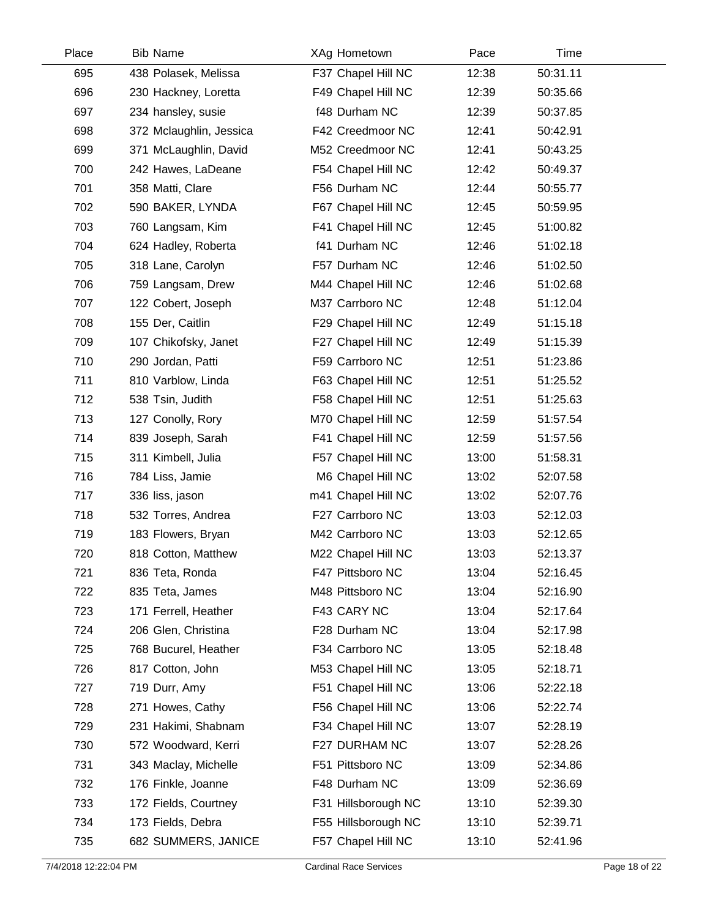| Place | <b>Bib Name</b>         | XAg Hometown        | Pace  | Time     |  |
|-------|-------------------------|---------------------|-------|----------|--|
| 695   | 438 Polasek, Melissa    | F37 Chapel Hill NC  | 12:38 | 50:31.11 |  |
| 696   | 230 Hackney, Loretta    | F49 Chapel Hill NC  | 12:39 | 50:35.66 |  |
| 697   | 234 hansley, susie      | f48 Durham NC       | 12:39 | 50:37.85 |  |
| 698   | 372 Mclaughlin, Jessica | F42 Creedmoor NC    | 12:41 | 50:42.91 |  |
| 699   | 371 McLaughlin, David   | M52 Creedmoor NC    | 12:41 | 50:43.25 |  |
| 700   | 242 Hawes, LaDeane      | F54 Chapel Hill NC  | 12:42 | 50:49.37 |  |
| 701   | 358 Matti, Clare        | F56 Durham NC       | 12:44 | 50:55.77 |  |
| 702   | 590 BAKER, LYNDA        | F67 Chapel Hill NC  | 12:45 | 50:59.95 |  |
| 703   | 760 Langsam, Kim        | F41 Chapel Hill NC  | 12:45 | 51:00.82 |  |
| 704   | 624 Hadley, Roberta     | f41 Durham NC       | 12:46 | 51:02.18 |  |
| 705   | 318 Lane, Carolyn       | F57 Durham NC       | 12:46 | 51:02.50 |  |
| 706   | 759 Langsam, Drew       | M44 Chapel Hill NC  | 12:46 | 51:02.68 |  |
| 707   | 122 Cobert, Joseph      | M37 Carrboro NC     | 12:48 | 51:12.04 |  |
| 708   | 155 Der, Caitlin        | F29 Chapel Hill NC  | 12:49 | 51:15.18 |  |
| 709   | 107 Chikofsky, Janet    | F27 Chapel Hill NC  | 12:49 | 51:15.39 |  |
| 710   | 290 Jordan, Patti       | F59 Carrboro NC     | 12:51 | 51:23.86 |  |
| 711   | 810 Varblow, Linda      | F63 Chapel Hill NC  | 12:51 | 51:25.52 |  |
| 712   | 538 Tsin, Judith        | F58 Chapel Hill NC  | 12:51 | 51:25.63 |  |
| 713   | 127 Conolly, Rory       | M70 Chapel Hill NC  | 12:59 | 51:57.54 |  |
| 714   | 839 Joseph, Sarah       | F41 Chapel Hill NC  | 12:59 | 51:57.56 |  |
| 715   | 311 Kimbell, Julia      | F57 Chapel Hill NC  | 13:00 | 51:58.31 |  |
| 716   | 784 Liss, Jamie         | M6 Chapel Hill NC   | 13:02 | 52:07.58 |  |
| 717   | 336 liss, jason         | m41 Chapel Hill NC  | 13:02 | 52:07.76 |  |
| 718   | 532 Torres, Andrea      | F27 Carrboro NC     | 13:03 | 52:12.03 |  |
| 719   | 183 Flowers, Bryan      | M42 Carrboro NC     | 13:03 | 52:12.65 |  |
| 720   | 818 Cotton, Matthew     | M22 Chapel Hill NC  | 13:03 | 52:13.37 |  |
| 721   | 836 Teta, Ronda         | F47 Pittsboro NC    | 13:04 | 52:16.45 |  |
| 722   | 835 Teta, James         | M48 Pittsboro NC    | 13:04 | 52:16.90 |  |
| 723   | 171 Ferrell, Heather    | F43 CARY NC         | 13:04 | 52:17.64 |  |
| 724   | 206 Glen, Christina     | F28 Durham NC       | 13:04 | 52:17.98 |  |
| 725   | 768 Bucurel, Heather    | F34 Carrboro NC     | 13:05 | 52:18.48 |  |
| 726   | 817 Cotton, John        | M53 Chapel Hill NC  | 13:05 | 52:18.71 |  |
| 727   | 719 Durr, Amy           | F51 Chapel Hill NC  | 13:06 | 52:22.18 |  |
| 728   | 271 Howes, Cathy        | F56 Chapel Hill NC  | 13:06 | 52:22.74 |  |
| 729   | 231 Hakimi, Shabnam     | F34 Chapel Hill NC  | 13:07 | 52:28.19 |  |
| 730   | 572 Woodward, Kerri     | F27 DURHAM NC       | 13:07 | 52:28.26 |  |
| 731   | 343 Maclay, Michelle    | F51 Pittsboro NC    | 13:09 | 52:34.86 |  |
| 732   | 176 Finkle, Joanne      | F48 Durham NC       | 13:09 | 52:36.69 |  |
| 733   | 172 Fields, Courtney    | F31 Hillsborough NC | 13:10 | 52:39.30 |  |
| 734   | 173 Fields, Debra       | F55 Hillsborough NC | 13:10 | 52:39.71 |  |
| 735   | 682 SUMMERS, JANICE     | F57 Chapel Hill NC  | 13:10 | 52:41.96 |  |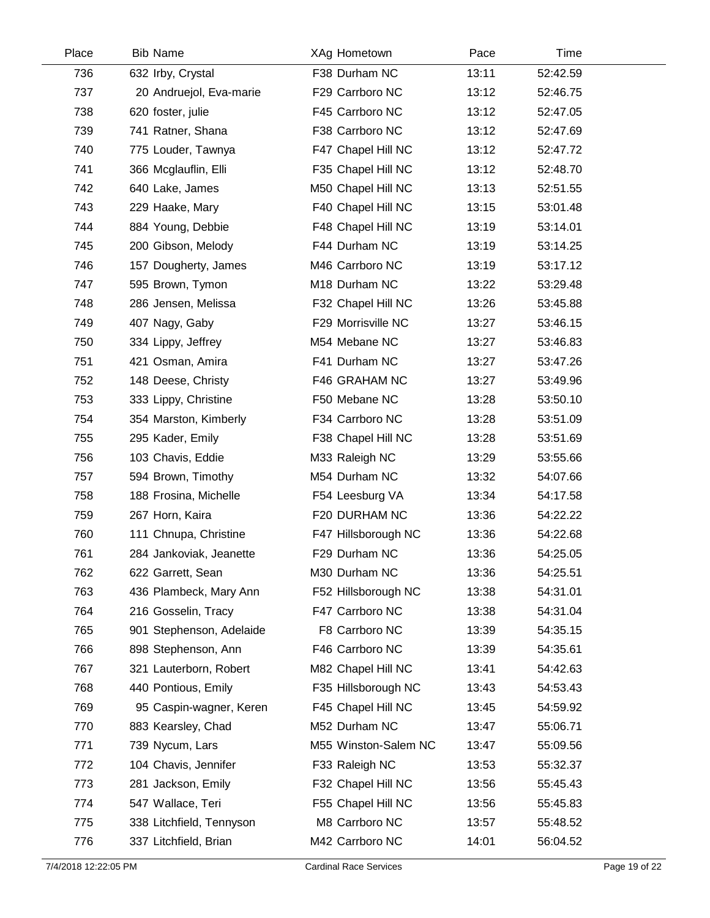| Place | <b>Bib Name</b>          | XAg Hometown         | Pace  | Time     |  |
|-------|--------------------------|----------------------|-------|----------|--|
| 736   | 632 Irby, Crystal        | F38 Durham NC        | 13:11 | 52:42.59 |  |
| 737   | 20 Andruejol, Eva-marie  | F29 Carrboro NC      | 13:12 | 52:46.75 |  |
| 738   | 620 foster, julie        | F45 Carrboro NC      | 13:12 | 52:47.05 |  |
| 739   | 741 Ratner, Shana        | F38 Carrboro NC      | 13:12 | 52:47.69 |  |
| 740   | 775 Louder, Tawnya       | F47 Chapel Hill NC   | 13:12 | 52:47.72 |  |
| 741   | 366 Mcglauflin, Elli     | F35 Chapel Hill NC   | 13:12 | 52:48.70 |  |
| 742   | 640 Lake, James          | M50 Chapel Hill NC   | 13:13 | 52:51.55 |  |
| 743   | 229 Haake, Mary          | F40 Chapel Hill NC   | 13:15 | 53:01.48 |  |
| 744   | 884 Young, Debbie        | F48 Chapel Hill NC   | 13:19 | 53:14.01 |  |
| 745   | 200 Gibson, Melody       | F44 Durham NC        | 13:19 | 53:14.25 |  |
| 746   | 157 Dougherty, James     | M46 Carrboro NC      | 13:19 | 53:17.12 |  |
| 747   | 595 Brown, Tymon         | M18 Durham NC        | 13:22 | 53:29.48 |  |
| 748   | 286 Jensen, Melissa      | F32 Chapel Hill NC   | 13:26 | 53:45.88 |  |
| 749   | 407 Nagy, Gaby           | F29 Morrisville NC   | 13:27 | 53:46.15 |  |
| 750   | 334 Lippy, Jeffrey       | M54 Mebane NC        | 13:27 | 53:46.83 |  |
| 751   | 421 Osman, Amira         | F41 Durham NC        | 13:27 | 53:47.26 |  |
| 752   | 148 Deese, Christy       | F46 GRAHAM NC        | 13:27 | 53:49.96 |  |
| 753   | 333 Lippy, Christine     | F50 Mebane NC        | 13:28 | 53:50.10 |  |
| 754   | 354 Marston, Kimberly    | F34 Carrboro NC      | 13:28 | 53:51.09 |  |
| 755   | 295 Kader, Emily         | F38 Chapel Hill NC   | 13:28 | 53:51.69 |  |
| 756   | 103 Chavis, Eddie        | M33 Raleigh NC       | 13:29 | 53:55.66 |  |
| 757   | 594 Brown, Timothy       | M54 Durham NC        | 13:32 | 54:07.66 |  |
| 758   | 188 Frosina, Michelle    | F54 Leesburg VA      | 13:34 | 54:17.58 |  |
| 759   | 267 Horn, Kaira          | F20 DURHAM NC        | 13:36 | 54:22.22 |  |
| 760   | 111 Chnupa, Christine    | F47 Hillsborough NC  | 13:36 | 54:22.68 |  |
| 761   | 284 Jankoviak, Jeanette  | F29 Durham NC        | 13:36 | 54:25.05 |  |
| 762   | 622 Garrett, Sean        | M30 Durham NC        | 13:36 | 54:25.51 |  |
| 763   | 436 Plambeck, Mary Ann   | F52 Hillsborough NC  | 13:38 | 54:31.01 |  |
| 764   | 216 Gosselin, Tracy      | F47 Carrboro NC      | 13:38 | 54:31.04 |  |
| 765   | 901 Stephenson, Adelaide | F8 Carrboro NC       | 13:39 | 54:35.15 |  |
| 766   | 898 Stephenson, Ann      | F46 Carrboro NC      | 13:39 | 54:35.61 |  |
| 767   | 321 Lauterborn, Robert   | M82 Chapel Hill NC   | 13:41 | 54:42.63 |  |
| 768   | 440 Pontious, Emily      | F35 Hillsborough NC  | 13:43 | 54:53.43 |  |
| 769   | 95 Caspin-wagner, Keren  | F45 Chapel Hill NC   | 13:45 | 54:59.92 |  |
| 770   | 883 Kearsley, Chad       | M52 Durham NC        | 13:47 | 55:06.71 |  |
| 771   | 739 Nycum, Lars          | M55 Winston-Salem NC | 13:47 | 55:09.56 |  |
| 772   | 104 Chavis, Jennifer     | F33 Raleigh NC       | 13:53 | 55:32.37 |  |
| 773   | 281 Jackson, Emily       | F32 Chapel Hill NC   | 13:56 | 55:45.43 |  |
| 774   | 547 Wallace, Teri        | F55 Chapel Hill NC   | 13:56 | 55:45.83 |  |
| 775   | 338 Litchfield, Tennyson | M8 Carrboro NC       | 13:57 | 55:48.52 |  |
| 776   | 337 Litchfield, Brian    | M42 Carrboro NC      | 14:01 | 56:04.52 |  |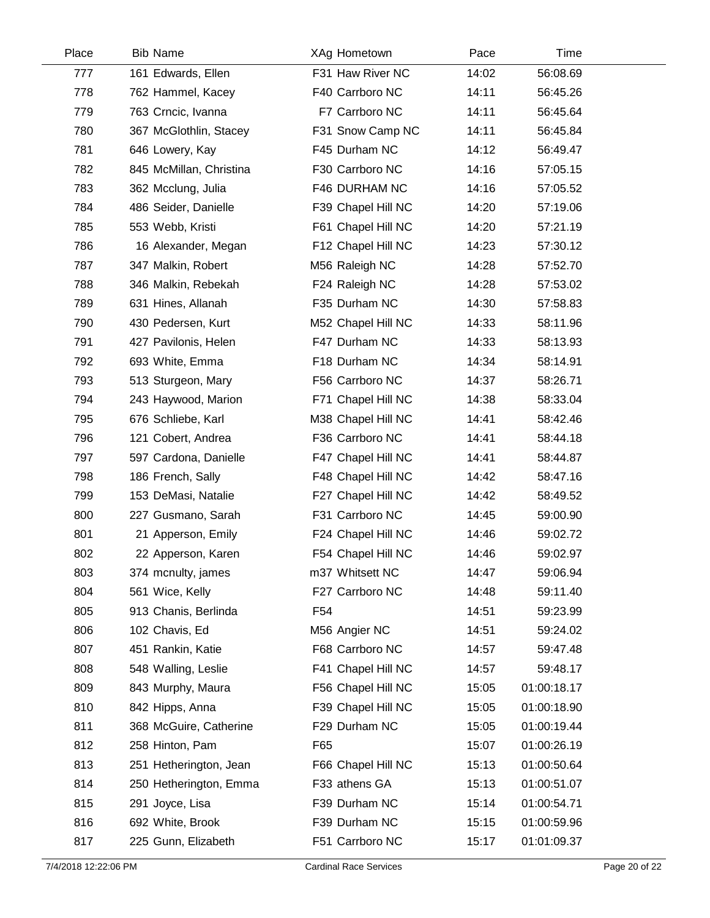| Place | <b>Bib Name</b>         | XAg Hometown       | Pace  | Time        |  |
|-------|-------------------------|--------------------|-------|-------------|--|
| 777   | 161 Edwards, Ellen      | F31 Haw River NC   | 14:02 | 56:08.69    |  |
| 778   | 762 Hammel, Kacey       | F40 Carrboro NC    | 14:11 | 56:45.26    |  |
| 779   | 763 Crncic, Ivanna      | F7 Carrboro NC     | 14:11 | 56:45.64    |  |
| 780   | 367 McGlothlin, Stacey  | F31 Snow Camp NC   | 14:11 | 56:45.84    |  |
| 781   | 646 Lowery, Kay         | F45 Durham NC      | 14:12 | 56:49.47    |  |
| 782   | 845 McMillan, Christina | F30 Carrboro NC    | 14:16 | 57:05.15    |  |
| 783   | 362 Mcclung, Julia      | F46 DURHAM NC      | 14:16 | 57:05.52    |  |
| 784   | 486 Seider, Danielle    | F39 Chapel Hill NC | 14:20 | 57:19.06    |  |
| 785   | 553 Webb, Kristi        | F61 Chapel Hill NC | 14:20 | 57:21.19    |  |
| 786   | 16 Alexander, Megan     | F12 Chapel Hill NC | 14:23 | 57:30.12    |  |
| 787   | 347 Malkin, Robert      | M56 Raleigh NC     | 14:28 | 57:52.70    |  |
| 788   | 346 Malkin, Rebekah     | F24 Raleigh NC     | 14:28 | 57:53.02    |  |
| 789   | 631 Hines, Allanah      | F35 Durham NC      | 14:30 | 57:58.83    |  |
| 790   | 430 Pedersen, Kurt      | M52 Chapel Hill NC | 14:33 | 58:11.96    |  |
| 791   | 427 Pavilonis, Helen    | F47 Durham NC      | 14:33 | 58:13.93    |  |
| 792   | 693 White, Emma         | F18 Durham NC      | 14:34 | 58:14.91    |  |
| 793   | 513 Sturgeon, Mary      | F56 Carrboro NC    | 14:37 | 58:26.71    |  |
| 794   | 243 Haywood, Marion     | F71 Chapel Hill NC | 14:38 | 58:33.04    |  |
| 795   | 676 Schliebe, Karl      | M38 Chapel Hill NC | 14:41 | 58:42.46    |  |
| 796   | 121 Cobert, Andrea      | F36 Carrboro NC    | 14:41 | 58:44.18    |  |
| 797   | 597 Cardona, Danielle   | F47 Chapel Hill NC | 14:41 | 58:44.87    |  |
| 798   | 186 French, Sally       | F48 Chapel Hill NC | 14:42 | 58:47.16    |  |
| 799   | 153 DeMasi, Natalie     | F27 Chapel Hill NC | 14:42 | 58:49.52    |  |
| 800   | 227 Gusmano, Sarah      | F31 Carrboro NC    | 14:45 | 59:00.90    |  |
| 801   | 21 Apperson, Emily      | F24 Chapel Hill NC | 14:46 | 59:02.72    |  |
| 802   | 22 Apperson, Karen      | F54 Chapel Hill NC | 14:46 | 59:02.97    |  |
| 803   | 374 mcnulty, james      | m37 Whitsett NC    | 14:47 | 59:06.94    |  |
| 804   | 561 Wice, Kelly         | F27 Carrboro NC    | 14:48 | 59:11.40    |  |
| 805   | 913 Chanis, Berlinda    | F <sub>54</sub>    | 14:51 | 59:23.99    |  |
| 806   | 102 Chavis, Ed          | M56 Angier NC      | 14:51 | 59:24.02    |  |
| 807   | 451 Rankin, Katie       | F68 Carrboro NC    | 14:57 | 59:47.48    |  |
| 808   | 548 Walling, Leslie     | F41 Chapel Hill NC | 14:57 | 59:48.17    |  |
| 809   | 843 Murphy, Maura       | F56 Chapel Hill NC | 15:05 | 01:00:18.17 |  |
| 810   | 842 Hipps, Anna         | F39 Chapel Hill NC | 15:05 | 01:00:18.90 |  |
| 811   | 368 McGuire, Catherine  | F29 Durham NC      | 15:05 | 01:00:19.44 |  |
| 812   | 258 Hinton, Pam         | F65                | 15:07 | 01:00:26.19 |  |
| 813   | 251 Hetherington, Jean  | F66 Chapel Hill NC | 15:13 | 01:00:50.64 |  |
| 814   | 250 Hetherington, Emma  | F33 athens GA      | 15:13 | 01:00:51.07 |  |
| 815   | 291 Joyce, Lisa         | F39 Durham NC      | 15:14 | 01:00:54.71 |  |
| 816   | 692 White, Brook        | F39 Durham NC      | 15:15 | 01:00:59.96 |  |
| 817   | 225 Gunn, Elizabeth     | F51 Carrboro NC    | 15:17 | 01:01:09.37 |  |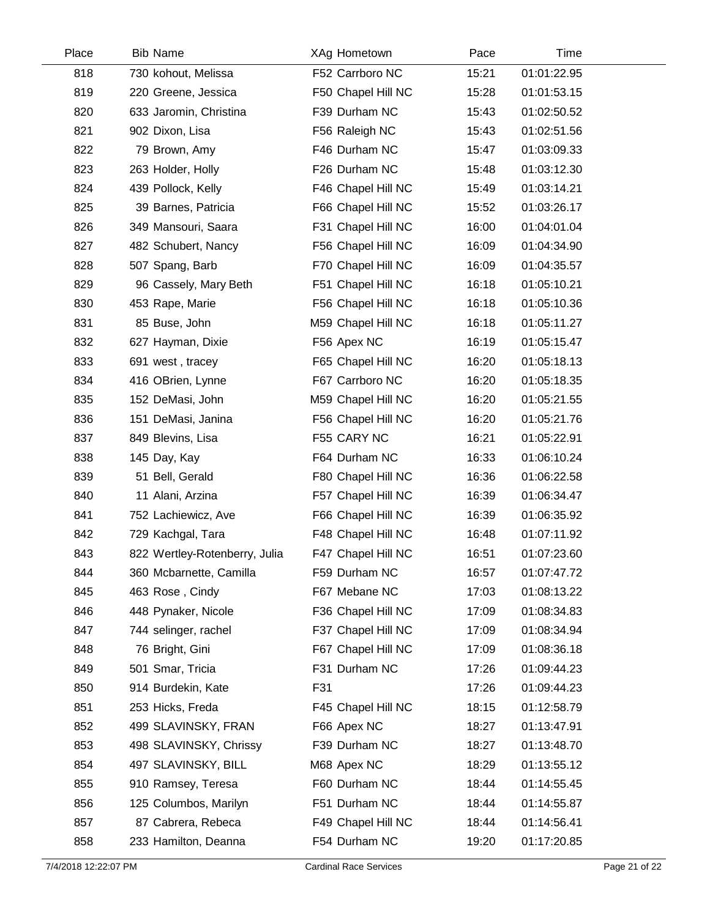| Place | <b>Bib Name</b>               | XAg Hometown       | Pace  | Time        |  |
|-------|-------------------------------|--------------------|-------|-------------|--|
| 818   | 730 kohout, Melissa           | F52 Carrboro NC    | 15:21 | 01:01:22.95 |  |
| 819   | 220 Greene, Jessica           | F50 Chapel Hill NC | 15:28 | 01:01:53.15 |  |
| 820   | 633 Jaromin, Christina        | F39 Durham NC      | 15:43 | 01:02:50.52 |  |
| 821   | 902 Dixon, Lisa               | F56 Raleigh NC     | 15:43 | 01:02:51.56 |  |
| 822   | 79 Brown, Amy                 | F46 Durham NC      | 15:47 | 01:03:09.33 |  |
| 823   | 263 Holder, Holly             | F26 Durham NC      | 15:48 | 01:03:12.30 |  |
| 824   | 439 Pollock, Kelly            | F46 Chapel Hill NC | 15:49 | 01:03:14.21 |  |
| 825   | 39 Barnes, Patricia           | F66 Chapel Hill NC | 15:52 | 01:03:26.17 |  |
| 826   | 349 Mansouri, Saara           | F31 Chapel Hill NC | 16:00 | 01:04:01.04 |  |
| 827   | 482 Schubert, Nancy           | F56 Chapel Hill NC | 16:09 | 01:04:34.90 |  |
| 828   | 507 Spang, Barb               | F70 Chapel Hill NC | 16:09 | 01:04:35.57 |  |
| 829   | 96 Cassely, Mary Beth         | F51 Chapel Hill NC | 16:18 | 01:05:10.21 |  |
| 830   | 453 Rape, Marie               | F56 Chapel Hill NC | 16:18 | 01:05:10.36 |  |
| 831   | 85 Buse, John                 | M59 Chapel Hill NC | 16:18 | 01:05:11.27 |  |
| 832   | 627 Hayman, Dixie             | F56 Apex NC        | 16:19 | 01:05:15.47 |  |
| 833   | 691 west, tracey              | F65 Chapel Hill NC | 16:20 | 01:05:18.13 |  |
| 834   | 416 OBrien, Lynne             | F67 Carrboro NC    | 16:20 | 01:05:18.35 |  |
| 835   | 152 DeMasi, John              | M59 Chapel Hill NC | 16:20 | 01:05:21.55 |  |
| 836   | 151 DeMasi, Janina            | F56 Chapel Hill NC | 16:20 | 01:05:21.76 |  |
| 837   | 849 Blevins, Lisa             | F55 CARY NC        | 16:21 | 01:05:22.91 |  |
| 838   | 145 Day, Kay                  | F64 Durham NC      | 16:33 | 01:06:10.24 |  |
| 839   | 51 Bell, Gerald               | F80 Chapel Hill NC | 16:36 | 01:06:22.58 |  |
| 840   | 11 Alani, Arzina              | F57 Chapel Hill NC | 16:39 | 01:06:34.47 |  |
| 841   | 752 Lachiewicz, Ave           | F66 Chapel Hill NC | 16:39 | 01:06:35.92 |  |
| 842   | 729 Kachgal, Tara             | F48 Chapel Hill NC | 16:48 | 01:07:11.92 |  |
| 843   | 822 Wertley-Rotenberry, Julia | F47 Chapel Hill NC | 16:51 | 01:07:23.60 |  |
| 844   | 360 Mcbarnette, Camilla       | F59 Durham NC      | 16:57 | 01:07:47.72 |  |
| 845   | 463 Rose, Cindy               | F67 Mebane NC      | 17:03 | 01:08:13.22 |  |
| 846   | 448 Pynaker, Nicole           | F36 Chapel Hill NC | 17:09 | 01:08:34.83 |  |
| 847   | 744 selinger, rachel          | F37 Chapel Hill NC | 17:09 | 01:08:34.94 |  |
| 848   | 76 Bright, Gini               | F67 Chapel Hill NC | 17:09 | 01:08:36.18 |  |
| 849   | 501 Smar, Tricia              | F31 Durham NC      | 17:26 | 01:09:44.23 |  |
| 850   | 914 Burdekin, Kate            | F31                | 17:26 | 01:09:44.23 |  |
| 851   | 253 Hicks, Freda              | F45 Chapel Hill NC | 18:15 | 01:12:58.79 |  |
| 852   | 499 SLAVINSKY, FRAN           | F66 Apex NC        | 18:27 | 01:13:47.91 |  |
| 853   | 498 SLAVINSKY, Chrissy        | F39 Durham NC      | 18:27 | 01:13:48.70 |  |
| 854   | 497 SLAVINSKY, BILL           | M68 Apex NC        | 18:29 | 01:13:55.12 |  |
| 855   | 910 Ramsey, Teresa            | F60 Durham NC      | 18:44 | 01:14:55.45 |  |
| 856   | 125 Columbos, Marilyn         | F51 Durham NC      | 18:44 | 01:14:55.87 |  |
| 857   | 87 Cabrera, Rebeca            | F49 Chapel Hill NC | 18:44 | 01:14:56.41 |  |
| 858   | 233 Hamilton, Deanna          | F54 Durham NC      | 19:20 | 01:17:20.85 |  |